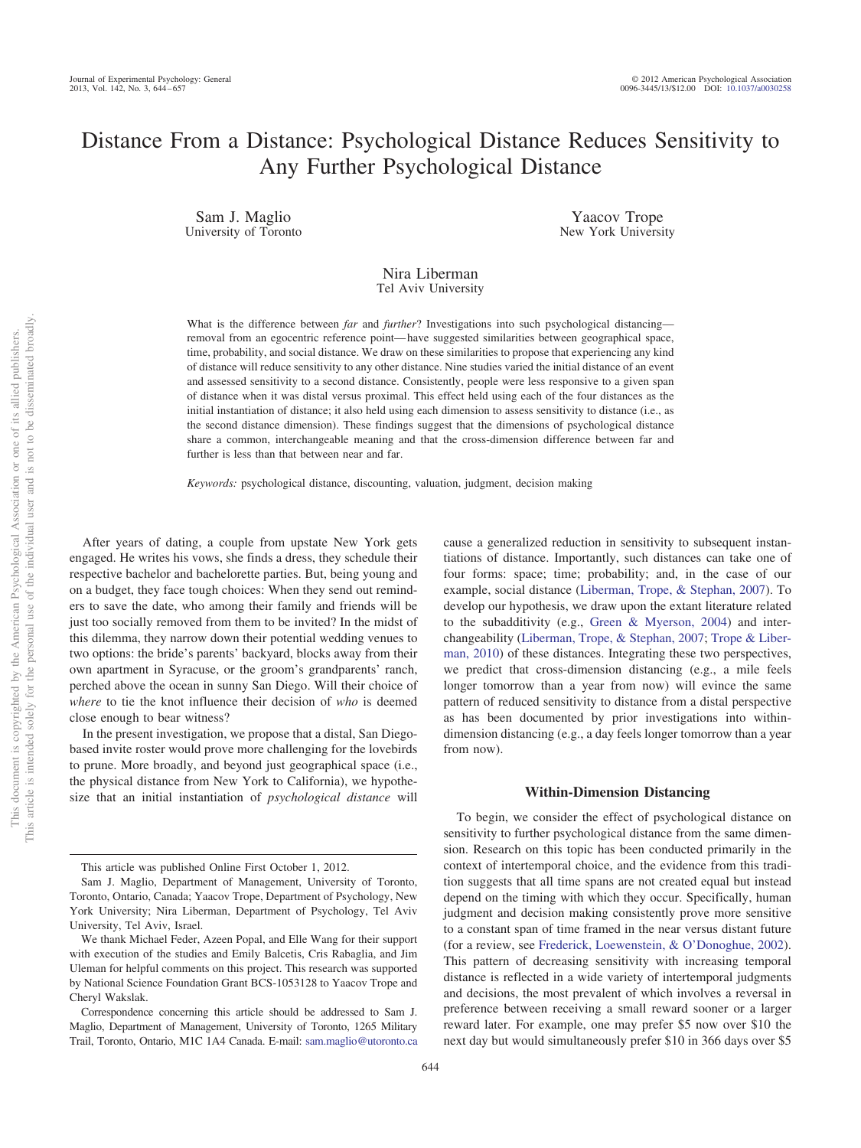# Distance From a Distance: Psychological Distance Reduces Sensitivity to Any Further Psychological Distance

Sam J. Maglio University of Toronto

Yaacov Trope New York University

#### Nira Liberman Tel Aviv University

What is the difference between *far* and *further*? Investigations into such psychological distancing removal from an egocentric reference point— have suggested similarities between geographical space, time, probability, and social distance. We draw on these similarities to propose that experiencing any kind of distance will reduce sensitivity to any other distance. Nine studies varied the initial distance of an event and assessed sensitivity to a second distance. Consistently, people were less responsive to a given span of distance when it was distal versus proximal. This effect held using each of the four distances as the initial instantiation of distance; it also held using each dimension to assess sensitivity to distance (i.e., as the second distance dimension). These findings suggest that the dimensions of psychological distance share a common, interchangeable meaning and that the cross-dimension difference between far and further is less than that between near and far.

*Keywords:* psychological distance, discounting, valuation, judgment, decision making

After years of dating, a couple from upstate New York gets engaged. He writes his vows, she finds a dress, they schedule their respective bachelor and bachelorette parties. But, being young and on a budget, they face tough choices: When they send out reminders to save the date, who among their family and friends will be just too socially removed from them to be invited? In the midst of this dilemma, they narrow down their potential wedding venues to two options: the bride's parents' backyard, blocks away from their own apartment in Syracuse, or the groom's grandparents' ranch, perched above the ocean in sunny San Diego. Will their choice of *where* to tie the knot influence their decision of *who* is deemed close enough to bear witness?

In the present investigation, we propose that a distal, San Diegobased invite roster would prove more challenging for the lovebirds to prune. More broadly, and beyond just geographical space (i.e., the physical distance from New York to California), we hypothesize that an initial instantiation of *psychological distance* will

cause a generalized reduction in sensitivity to subsequent instantiations of distance. Importantly, such distances can take one of four forms: space; time; probability; and, in the case of our example, social distance [\(Liberman, Trope, & Stephan, 2007\)](#page-12-0). To develop our hypothesis, we draw upon the extant literature related to the subadditivity (e.g., [Green & Myerson, 2004\)](#page-12-1) and interchangeability [\(Liberman, Trope, & Stephan, 2007;](#page-12-0) [Trope & Liber](#page-13-0)[man, 2010\)](#page-13-0) of these distances. Integrating these two perspectives, we predict that cross-dimension distancing (e.g., a mile feels longer tomorrow than a year from now) will evince the same pattern of reduced sensitivity to distance from a distal perspective as has been documented by prior investigations into withindimension distancing (e.g., a day feels longer tomorrow than a year from now).

#### **Within-Dimension Distancing**

To begin, we consider the effect of psychological distance on sensitivity to further psychological distance from the same dimension. Research on this topic has been conducted primarily in the context of intertemporal choice, and the evidence from this tradition suggests that all time spans are not created equal but instead depend on the timing with which they occur. Specifically, human judgment and decision making consistently prove more sensitive to a constant span of time framed in the near versus distant future (for a review, see [Frederick, Loewenstein, & O'Donoghue, 2002\)](#page-12-2). This pattern of decreasing sensitivity with increasing temporal distance is reflected in a wide variety of intertemporal judgments and decisions, the most prevalent of which involves a reversal in preference between receiving a small reward sooner or a larger reward later. For example, one may prefer \$5 now over \$10 the next day but would simultaneously prefer \$10 in 366 days over \$5

This article was published Online First October 1, 2012.

Sam J. Maglio, Department of Management, University of Toronto, Toronto, Ontario, Canada; Yaacov Trope, Department of Psychology, New York University; Nira Liberman, Department of Psychology, Tel Aviv University, Tel Aviv, Israel.

We thank Michael Feder, Azeen Popal, and Elle Wang for their support with execution of the studies and Emily Balcetis, Cris Rabaglia, and Jim Uleman for helpful comments on this project. This research was supported by National Science Foundation Grant BCS-1053128 to Yaacov Trope and Cheryl Wakslak.

Correspondence concerning this article should be addressed to Sam J. Maglio, Department of Management, University of Toronto, 1265 Military Trail, Toronto, Ontario, M1C 1A4 Canada. E-mail: [sam.maglio@utoronto.ca](mailto:sam.maglio@utoronto.ca)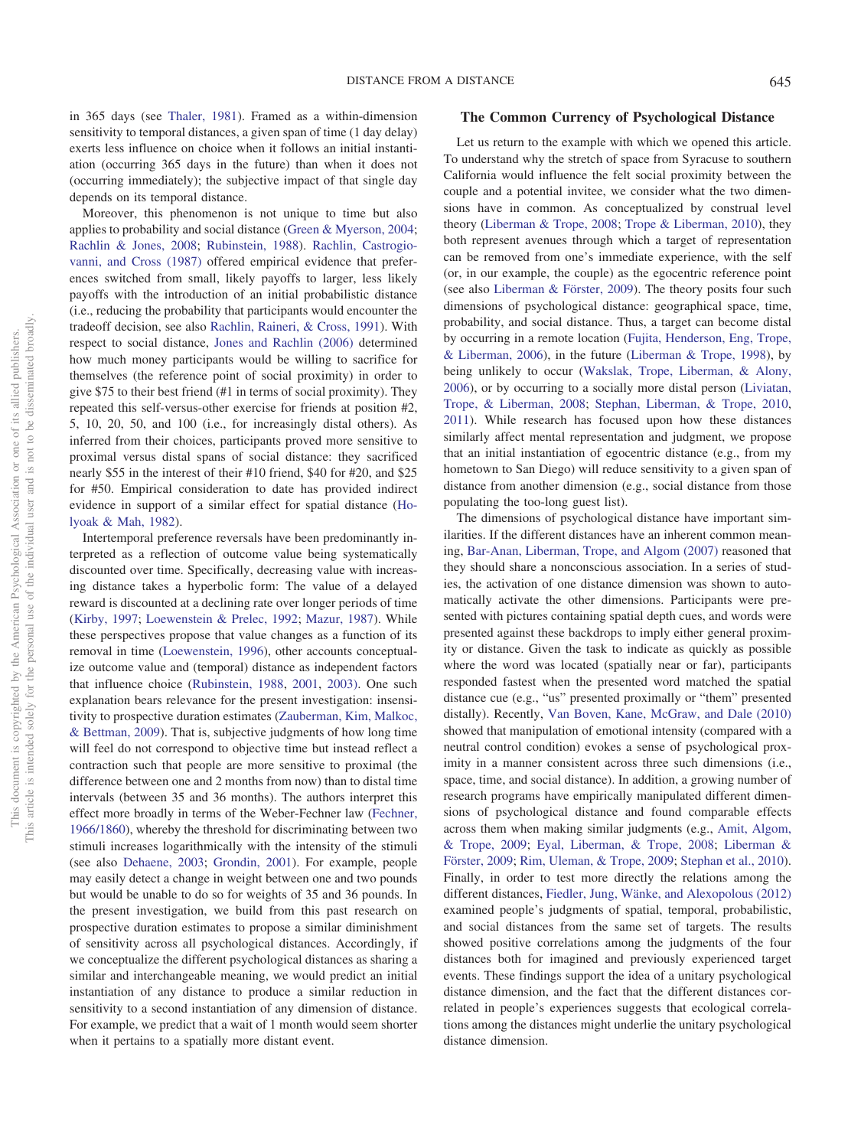in 365 days (see [Thaler, 1981\)](#page-13-1). Framed as a within-dimension sensitivity to temporal distances, a given span of time (1 day delay) exerts less influence on choice when it follows an initial instantiation (occurring 365 days in the future) than when it does not (occurring immediately); the subjective impact of that single day depends on its temporal distance.

Moreover, this phenomenon is not unique to time but also applies to probability and social distance [\(Green & Myerson, 2004;](#page-12-1) [Rachlin & Jones, 2008;](#page-13-2) [Rubinstein, 1988\)](#page-13-3). [Rachlin, Castrogio](#page-13-4)[vanni, and Cross \(1987\)](#page-13-4) offered empirical evidence that preferences switched from small, likely payoffs to larger, less likely payoffs with the introduction of an initial probabilistic distance (i.e., reducing the probability that participants would encounter the tradeoff decision, see also [Rachlin, Raineri, & Cross, 1991\)](#page-13-5). With respect to social distance, [Jones and Rachlin \(2006\)](#page-12-3) determined how much money participants would be willing to sacrifice for themselves (the reference point of social proximity) in order to give \$75 to their best friend (#1 in terms of social proximity). They repeated this self-versus-other exercise for friends at position #2, 5, 10, 20, 50, and 100 (i.e., for increasingly distal others). As inferred from their choices, participants proved more sensitive to proximal versus distal spans of social distance: they sacrificed nearly \$55 in the interest of their #10 friend, \$40 for #20, and \$25 for #50. Empirical consideration to date has provided indirect evidence in support of a similar effect for spatial distance [\(Ho](#page-12-4)[lyoak & Mah, 1982\)](#page-12-4).

Intertemporal preference reversals have been predominantly interpreted as a reflection of outcome value being systematically discounted over time. Specifically, decreasing value with increasing distance takes a hyperbolic form: The value of a delayed reward is discounted at a declining rate over longer periods of time [\(Kirby, 1997;](#page-12-5) [Loewenstein & Prelec, 1992;](#page-13-6) [Mazur, 1987\)](#page-13-7). While these perspectives propose that value changes as a function of its removal in time [\(Loewenstein, 1996\)](#page-13-8), other accounts conceptualize outcome value and (temporal) distance as independent factors that influence choice [\(Rubinstein, 1988,](#page-13-3) [2001,](#page-13-9) [2003\).](#page-13-10) One such explanation bears relevance for the present investigation: insensitivity to prospective duration estimates [\(Zauberman, Kim, Malkoc,](#page-13-11) [& Bettman, 2009\)](#page-13-11). That is, subjective judgments of how long time will feel do not correspond to objective time but instead reflect a contraction such that people are more sensitive to proximal (the difference between one and 2 months from now) than to distal time intervals (between 35 and 36 months). The authors interpret this effect more broadly in terms of the Weber-Fechner law [\(Fechner,](#page-12-6) [1966/1860\)](#page-12-6), whereby the threshold for discriminating between two stimuli increases logarithmically with the intensity of the stimuli (see also [Dehaene, 2003;](#page-12-7) [Grondin, 2001\)](#page-12-8). For example, people may easily detect a change in weight between one and two pounds but would be unable to do so for weights of 35 and 36 pounds. In the present investigation, we build from this past research on prospective duration estimates to propose a similar diminishment of sensitivity across all psychological distances. Accordingly, if we conceptualize the different psychological distances as sharing a similar and interchangeable meaning, we would predict an initial instantiation of any distance to produce a similar reduction in sensitivity to a second instantiation of any dimension of distance. For example, we predict that a wait of 1 month would seem shorter when it pertains to a spatially more distant event.

#### **The Common Currency of Psychological Distance**

Let us return to the example with which we opened this article. To understand why the stretch of space from Syracuse to southern California would influence the felt social proximity between the couple and a potential invitee, we consider what the two dimensions have in common. As conceptualized by construal level theory [\(Liberman & Trope, 2008;](#page-12-9) [Trope & Liberman, 2010\)](#page-13-0), they both represent avenues through which a target of representation can be removed from one's immediate experience, with the self (or, in our example, the couple) as the egocentric reference point (see also [Liberman & Förster, 2009\)](#page-12-10). The theory posits four such dimensions of psychological distance: geographical space, time, probability, and social distance. Thus, a target can become distal by occurring in a remote location [\(Fujita, Henderson, Eng, Trope,](#page-12-11) [& Liberman, 2006\)](#page-12-11), in the future [\(Liberman & Trope, 1998\)](#page-12-12), by being unlikely to occur [\(Wakslak, Trope, Liberman, & Alony,](#page-13-12) [2006\)](#page-13-12), or by occurring to a socially more distal person [\(Liviatan,](#page-13-13) [Trope, & Liberman, 2008;](#page-13-13) [Stephan, Liberman, & Trope, 2010,](#page-13-14) [2011\)](#page-13-15). While research has focused upon how these distances similarly affect mental representation and judgment, we propose that an initial instantiation of egocentric distance (e.g., from my hometown to San Diego) will reduce sensitivity to a given span of distance from another dimension (e.g., social distance from those populating the too-long guest list).

The dimensions of psychological distance have important similarities. If the different distances have an inherent common meaning, [Bar-Anan, Liberman, Trope, and Algom \(2007\)](#page-12-13) reasoned that they should share a nonconscious association. In a series of studies, the activation of one distance dimension was shown to automatically activate the other dimensions. Participants were presented with pictures containing spatial depth cues, and words were presented against these backdrops to imply either general proximity or distance. Given the task to indicate as quickly as possible where the word was located (spatially near or far), participants responded fastest when the presented word matched the spatial distance cue (e.g., "us" presented proximally or "them" presented distally). Recently, [Van Boven, Kane, McGraw, and Dale \(2010\)](#page-13-16) showed that manipulation of emotional intensity (compared with a neutral control condition) evokes a sense of psychological proximity in a manner consistent across three such dimensions (i.e., space, time, and social distance). In addition, a growing number of research programs have empirically manipulated different dimensions of psychological distance and found comparable effects across them when making similar judgments (e.g., [Amit, Algom,](#page-12-14) [& Trope, 2009;](#page-12-14) [Eyal, Liberman, & Trope, 2008;](#page-12-15) [Liberman &](#page-12-10) [Förster, 2009;](#page-12-10) [Rim, Uleman, & Trope, 2009;](#page-13-17) [Stephan et al., 2010\)](#page-13-14). Finally, in order to test more directly the relations among the different distances, [Fiedler, Jung, Wänke, and Alexopolous \(2012\)](#page-12-16) examined people's judgments of spatial, temporal, probabilistic, and social distances from the same set of targets. The results showed positive correlations among the judgments of the four distances both for imagined and previously experienced target events. These findings support the idea of a unitary psychological distance dimension, and the fact that the different distances correlated in people's experiences suggests that ecological correlations among the distances might underlie the unitary psychological distance dimension.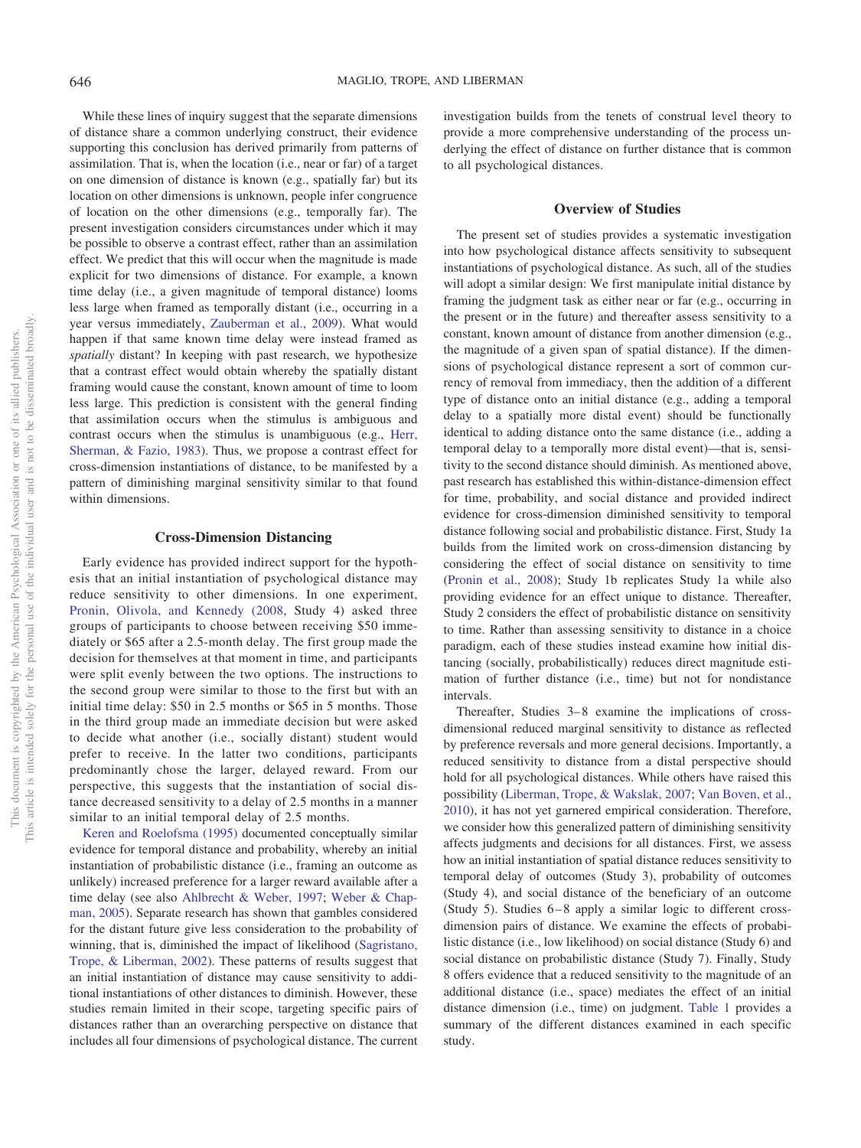While these lines of inquiry suggest that the separate dimensions of distance share a common underlying construct, their evidence supporting this conclusion has derived primarily from patterns of assimilation. That is, when the location (i.e., near or far) of a target on one dimension of distance is known (e.g., spatially far) but its location on other dimensions is unknown, people infer congruence of location on the other dimensions (e.g., temporally far). The present investigation considers circumstances under which it may be possible to observe a contrast effect, rather than an assimilation effect. We predict that this will occur when the magnitude is made explicit for two dimensions of distance. For example, a known time delay (i.e., a given magnitude of temporal distance) looms less large when framed as temporally distant (i.e., occurring in a year versus immediately, [Zauberman et al., 2009\)](#page-13-11). What would happen if that same known time delay were instead framed as *spatially* distant? In keeping with past research, we hypothesize that a contrast effect would obtain whereby the spatially distant framing would cause the constant, known amount of time to loom less large. This prediction is consistent with the general finding that assimilation occurs when the stimulus is ambiguous and contrast occurs when the stimulus is unambiguous (e.g., [Herr,](#page-12-17) [Sherman, & Fazio, 1983\)](#page-12-17). Thus, we propose a contrast effect for cross-dimension instantiations of distance, to be manifested by a pattern of diminishing marginal sensitivity similar to that found within dimensions.

## **Cross-Dimension Distancing**

Early evidence has provided indirect support for the hypothesis that an initial instantiation of psychological distance may reduce sensitivity to other dimensions. In one experiment, [Pronin, Olivola, and Kennedy \(2008,](#page-13-18) Study 4) asked three groups of participants to choose between receiving \$50 immediately or \$65 after a 2.5-month delay. The first group made the decision for themselves at that moment in time, and participants were split evenly between the two options. The instructions to the second group were similar to those to the first but with an initial time delay: \$50 in 2.5 months or \$65 in 5 months. Those in the third group made an immediate decision but were asked to decide what another (i.e., socially distant) student would prefer to receive. In the latter two conditions, participants predominantly chose the larger, delayed reward. From our perspective, this suggests that the instantiation of social distance decreased sensitivity to a delay of 2.5 months in a manner similar to an initial temporal delay of 2.5 months.

[Keren and Roelofsma \(1995\)](#page-12-18) documented conceptually similar evidence for temporal distance and probability, whereby an initial instantiation of probabilistic distance (i.e., framing an outcome as unlikely) increased preference for a larger reward available after a time delay (see also [Ahlbrecht & Weber, 1997;](#page-12-19) [Weber & Chap](#page-13-19)[man, 2005\)](#page-13-19). Separate research has shown that gambles considered for the distant future give less consideration to the probability of winning, that is, diminished the impact of likelihood [\(Sagristano,](#page-13-20) [Trope, & Liberman, 2002\)](#page-13-20). These patterns of results suggest that an initial instantiation of distance may cause sensitivity to additional instantiations of other distances to diminish. However, these studies remain limited in their scope, targeting specific pairs of distances rather than an overarching perspective on distance that includes all four dimensions of psychological distance. The current investigation builds from the tenets of construal level theory to provide a more comprehensive understanding of the process underlying the effect of distance on further distance that is common to all psychological distances.

#### **Overview of Studies**

The present set of studies provides a systematic investigation into how psychological distance affects sensitivity to subsequent instantiations of psychological distance. As such, all of the studies will adopt a similar design: We first manipulate initial distance by framing the judgment task as either near or far (e.g., occurring in the present or in the future) and thereafter assess sensitivity to a constant, known amount of distance from another dimension (e.g., the magnitude of a given span of spatial distance). If the dimensions of psychological distance represent a sort of common currency of removal from immediacy, then the addition of a different type of distance onto an initial distance (e.g., adding a temporal delay to a spatially more distal event) should be functionally identical to adding distance onto the same distance (i.e., adding a temporal delay to a temporally more distal event)—that is, sensitivity to the second distance should diminish. As mentioned above, past research has established this within-distance-dimension effect for time, probability, and social distance and provided indirect evidence for cross-dimension diminished sensitivity to temporal distance following social and probabilistic distance. First, Study 1a builds from the limited work on cross-dimension distancing by considering the effect of social distance on sensitivity to time [\(Pronin et al., 2008\)](#page-13-18); Study 1b replicates Study 1a while also providing evidence for an effect unique to distance. Thereafter, Study 2 considers the effect of probabilistic distance on sensitivity to time. Rather than assessing sensitivity to distance in a choice paradigm, each of these studies instead examine how initial distancing (socially, probabilistically) reduces direct magnitude estimation of further distance (i.e., time) but not for nondistance intervals.

Thereafter, Studies 3–8 examine the implications of crossdimensional reduced marginal sensitivity to distance as reflected by preference reversals and more general decisions. Importantly, a reduced sensitivity to distance from a distal perspective should hold for all psychological distances. While others have raised this possibility [\(Liberman, Trope, & Wakslak, 2007;](#page-12-20) [Van Boven, et al.,](#page-13-16) [2010\)](#page-13-16), it has not yet garnered empirical consideration. Therefore, we consider how this generalized pattern of diminishing sensitivity affects judgments and decisions for all distances. First, we assess how an initial instantiation of spatial distance reduces sensitivity to temporal delay of outcomes (Study 3), probability of outcomes (Study 4), and social distance of the beneficiary of an outcome (Study 5). Studies 6-8 apply a similar logic to different crossdimension pairs of distance. We examine the effects of probabilistic distance (i.e., low likelihood) on social distance (Study 6) and social distance on probabilistic distance (Study 7). Finally, Study 8 offers evidence that a reduced sensitivity to the magnitude of an additional distance (i.e., space) mediates the effect of an initial distance dimension (i.e., time) on judgment. [Table 1](#page-3-0) provides a summary of the different distances examined in each specific study.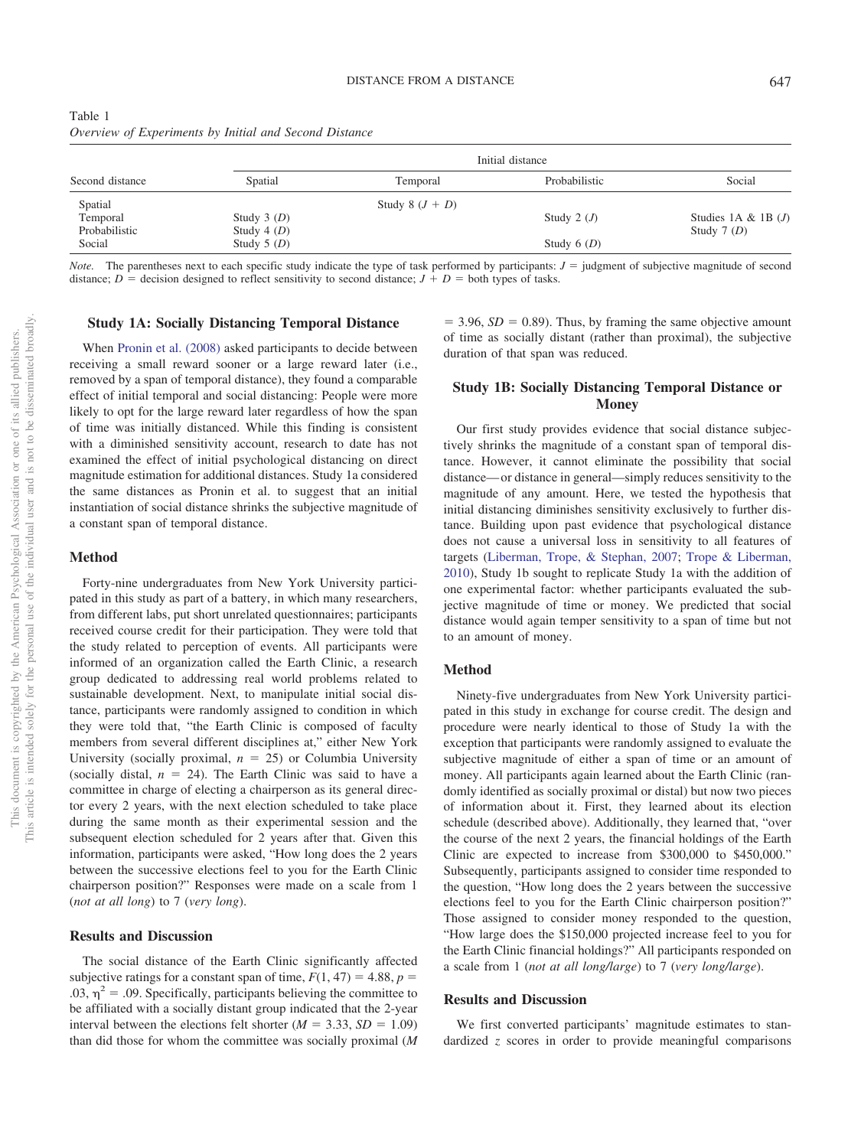<span id="page-3-0"></span>

| Table 1 |                                                        |  |  |
|---------|--------------------------------------------------------|--|--|
|         | Overview of Experiments by Initial and Second Distance |  |  |

| Second distance | Initial distance |                   |               |                       |  |  |
|-----------------|------------------|-------------------|---------------|-----------------------|--|--|
|                 | Spatial          | Temporal          | Probabilistic | Social                |  |  |
| Spatial         |                  | Study 8 $(J + D)$ |               |                       |  |  |
| Temporal        | Study $3(D)$     |                   | Study 2 $(J)$ | Studies 1A & 1B $(J)$ |  |  |
| Probabilistic   | Study 4 $(D)$    |                   |               | Study $7(D)$          |  |  |
| Social          | Study 5 $(D)$    |                   | Study $6(D)$  |                       |  |  |

*Note.* The parentheses next to each specific study indicate the type of task performed by participants:  $J =$  judgment of subjective magnitude of second distance;  $D =$  decision designed to reflect sensitivity to second distance;  $J + D =$  both types of tasks.

#### **Study 1A: Socially Distancing Temporal Distance**

When [Pronin et al. \(2008\)](#page-13-18) asked participants to decide between receiving a small reward sooner or a large reward later (i.e., removed by a span of temporal distance), they found a comparable effect of initial temporal and social distancing: People were more likely to opt for the large reward later regardless of how the span of time was initially distanced. While this finding is consistent with a diminished sensitivity account, research to date has not examined the effect of initial psychological distancing on direct magnitude estimation for additional distances. Study 1a considered the same distances as Pronin et al. to suggest that an initial instantiation of social distance shrinks the subjective magnitude of a constant span of temporal distance.

#### **Method**

Forty-nine undergraduates from New York University participated in this study as part of a battery, in which many researchers, from different labs, put short unrelated questionnaires; participants received course credit for their participation. They were told that the study related to perception of events. All participants were informed of an organization called the Earth Clinic, a research group dedicated to addressing real world problems related to sustainable development. Next, to manipulate initial social distance, participants were randomly assigned to condition in which they were told that, "the Earth Clinic is composed of faculty members from several different disciplines at," either New York University (socially proximal,  $n = 25$ ) or Columbia University (socially distal,  $n = 24$ ). The Earth Clinic was said to have a committee in charge of electing a chairperson as its general director every 2 years, with the next election scheduled to take place during the same month as their experimental session and the subsequent election scheduled for 2 years after that. Given this information, participants were asked, "How long does the 2 years between the successive elections feel to you for the Earth Clinic chairperson position?" Responses were made on a scale from 1 (*not at all long*) to 7 (*very long*).

## **Results and Discussion**

The social distance of the Earth Clinic significantly affected subjective ratings for a constant span of time,  $F(1, 47) = 4.88$ ,  $p =$ .03,  $\eta^2$  = .09. Specifically, participants believing the committee to be affiliated with a socially distant group indicated that the 2-year interval between the elections felt shorter ( $M = 3.33$ ,  $SD = 1.09$ ) than did those for whom the committee was socially proximal (*M*

 $=$  3.96, *SD*  $=$  0.89). Thus, by framing the same objective amount of time as socially distant (rather than proximal), the subjective duration of that span was reduced.

# **Study 1B: Socially Distancing Temporal Distance or Money**

Our first study provides evidence that social distance subjectively shrinks the magnitude of a constant span of temporal distance. However, it cannot eliminate the possibility that social distance— or distance in general—simply reduces sensitivity to the magnitude of any amount. Here, we tested the hypothesis that initial distancing diminishes sensitivity exclusively to further distance. Building upon past evidence that psychological distance does not cause a universal loss in sensitivity to all features of targets [\(Liberman, Trope, & Stephan, 2007;](#page-12-0) [Trope & Liberman,](#page-13-0) [2010\)](#page-13-0), Study 1b sought to replicate Study 1a with the addition of one experimental factor: whether participants evaluated the subjective magnitude of time or money. We predicted that social distance would again temper sensitivity to a span of time but not to an amount of money.

#### **Method**

Ninety-five undergraduates from New York University participated in this study in exchange for course credit. The design and procedure were nearly identical to those of Study 1a with the exception that participants were randomly assigned to evaluate the subjective magnitude of either a span of time or an amount of money. All participants again learned about the Earth Clinic (randomly identified as socially proximal or distal) but now two pieces of information about it. First, they learned about its election schedule (described above). Additionally, they learned that, "over the course of the next 2 years, the financial holdings of the Earth Clinic are expected to increase from \$300,000 to \$450,000." Subsequently, participants assigned to consider time responded to the question, "How long does the 2 years between the successive elections feel to you for the Earth Clinic chairperson position?" Those assigned to consider money responded to the question, "How large does the \$150,000 projected increase feel to you for the Earth Clinic financial holdings?" All participants responded on a scale from 1 (*not at all long/large*) to 7 (*very long/large*).

#### **Results and Discussion**

We first converted participants' magnitude estimates to standardized *z* scores in order to provide meaningful comparisons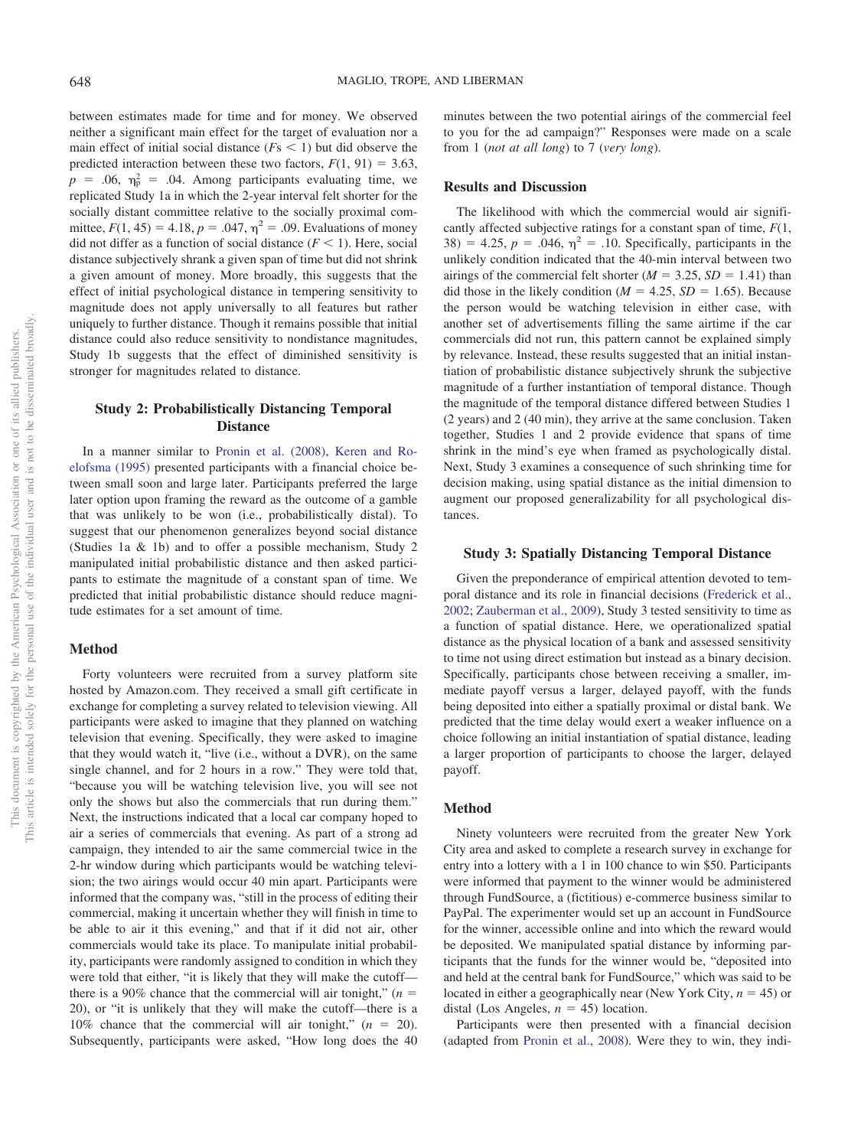between estimates made for time and for money. We observed neither a significant main effect for the target of evaluation nor a main effect of initial social distance  $(Fs \leq 1)$  but did observe the predicted interaction between these two factors,  $F(1, 91) = 3.63$ ,  $p = .06$ ,  $\eta_p^2 = .04$ . Among participants evaluating time, we replicated Study 1a in which the 2-year interval felt shorter for the socially distant committee relative to the socially proximal committee,  $F(1, 45) = 4.18$ ,  $p = .047$ ,  $\eta^2 = .09$ . Evaluations of money did not differ as a function of social distance  $(F \leq 1)$ . Here, social distance subjectively shrank a given span of time but did not shrink a given amount of money. More broadly, this suggests that the effect of initial psychological distance in tempering sensitivity to magnitude does not apply universally to all features but rather uniquely to further distance. Though it remains possible that initial distance could also reduce sensitivity to nondistance magnitudes, Study 1b suggests that the effect of diminished sensitivity is stronger for magnitudes related to distance.

## **Study 2: Probabilistically Distancing Temporal Distance**

In a manner similar to [Pronin et al. \(2008\),](#page-13-18) [Keren and Ro](#page-12-18)[elofsma \(1995\)](#page-12-18) presented participants with a financial choice between small soon and large later. Participants preferred the large later option upon framing the reward as the outcome of a gamble that was unlikely to be won (i.e., probabilistically distal). To suggest that our phenomenon generalizes beyond social distance (Studies 1a & 1b) and to offer a possible mechanism, Study 2 manipulated initial probabilistic distance and then asked participants to estimate the magnitude of a constant span of time. We predicted that initial probabilistic distance should reduce magnitude estimates for a set amount of time.

## **Method**

Forty volunteers were recruited from a survey platform site hosted by Amazon.com. They received a small gift certificate in exchange for completing a survey related to television viewing. All participants were asked to imagine that they planned on watching television that evening. Specifically, they were asked to imagine that they would watch it, "live (i.e., without a DVR), on the same single channel, and for 2 hours in a row." They were told that, "because you will be watching television live, you will see not only the shows but also the commercials that run during them." Next, the instructions indicated that a local car company hoped to air a series of commercials that evening. As part of a strong ad campaign, they intended to air the same commercial twice in the 2-hr window during which participants would be watching television; the two airings would occur 40 min apart. Participants were informed that the company was, "still in the process of editing their commercial, making it uncertain whether they will finish in time to be able to air it this evening," and that if it did not air, other commercials would take its place. To manipulate initial probability, participants were randomly assigned to condition in which they were told that either, "it is likely that they will make the cutoff there is a 90% chance that the commercial will air tonight,"  $(n =$ 20), or "it is unlikely that they will make the cutoff—there is a 10% chance that the commercial will air tonight,"  $(n = 20)$ . Subsequently, participants were asked, "How long does the 40 minutes between the two potential airings of the commercial feel to you for the ad campaign?" Responses were made on a scale from 1 (*not at all long*) to 7 (*very long*).

#### **Results and Discussion**

The likelihood with which the commercial would air significantly affected subjective ratings for a constant span of time, *F*(1, 38) = 4.25,  $p = .046$ ,  $\eta^2 = .10$ . Specifically, participants in the unlikely condition indicated that the 40-min interval between two airings of the commercial felt shorter ( $M = 3.25$ ,  $SD = 1.41$ ) than did those in the likely condition ( $M = 4.25$ ,  $SD = 1.65$ ). Because the person would be watching television in either case, with another set of advertisements filling the same airtime if the car commercials did not run, this pattern cannot be explained simply by relevance. Instead, these results suggested that an initial instantiation of probabilistic distance subjectively shrunk the subjective magnitude of a further instantiation of temporal distance. Though the magnitude of the temporal distance differed between Studies 1 (2 years) and 2 (40 min), they arrive at the same conclusion. Taken together, Studies 1 and 2 provide evidence that spans of time shrink in the mind's eye when framed as psychologically distal. Next, Study 3 examines a consequence of such shrinking time for decision making, using spatial distance as the initial dimension to augment our proposed generalizability for all psychological distances.

## **Study 3: Spatially Distancing Temporal Distance**

Given the preponderance of empirical attention devoted to temporal distance and its role in financial decisions [\(Frederick et al.,](#page-12-2) [2002;](#page-12-2) [Zauberman et al., 2009\)](#page-13-11), Study 3 tested sensitivity to time as a function of spatial distance. Here, we operationalized spatial distance as the physical location of a bank and assessed sensitivity to time not using direct estimation but instead as a binary decision. Specifically, participants chose between receiving a smaller, immediate payoff versus a larger, delayed payoff, with the funds being deposited into either a spatially proximal or distal bank. We predicted that the time delay would exert a weaker influence on a choice following an initial instantiation of spatial distance, leading a larger proportion of participants to choose the larger, delayed payoff.

## **Method**

Ninety volunteers were recruited from the greater New York City area and asked to complete a research survey in exchange for entry into a lottery with a 1 in 100 chance to win \$50. Participants were informed that payment to the winner would be administered through FundSource, a (fictitious) e-commerce business similar to PayPal. The experimenter would set up an account in FundSource for the winner, accessible online and into which the reward would be deposited. We manipulated spatial distance by informing participants that the funds for the winner would be, "deposited into and held at the central bank for FundSource," which was said to be located in either a geographically near (New York City,  $n = 45$ ) or distal (Los Angeles,  $n = 45$ ) location.

Participants were then presented with a financial decision (adapted from [Pronin et al., 2008\)](#page-13-18). Were they to win, they indi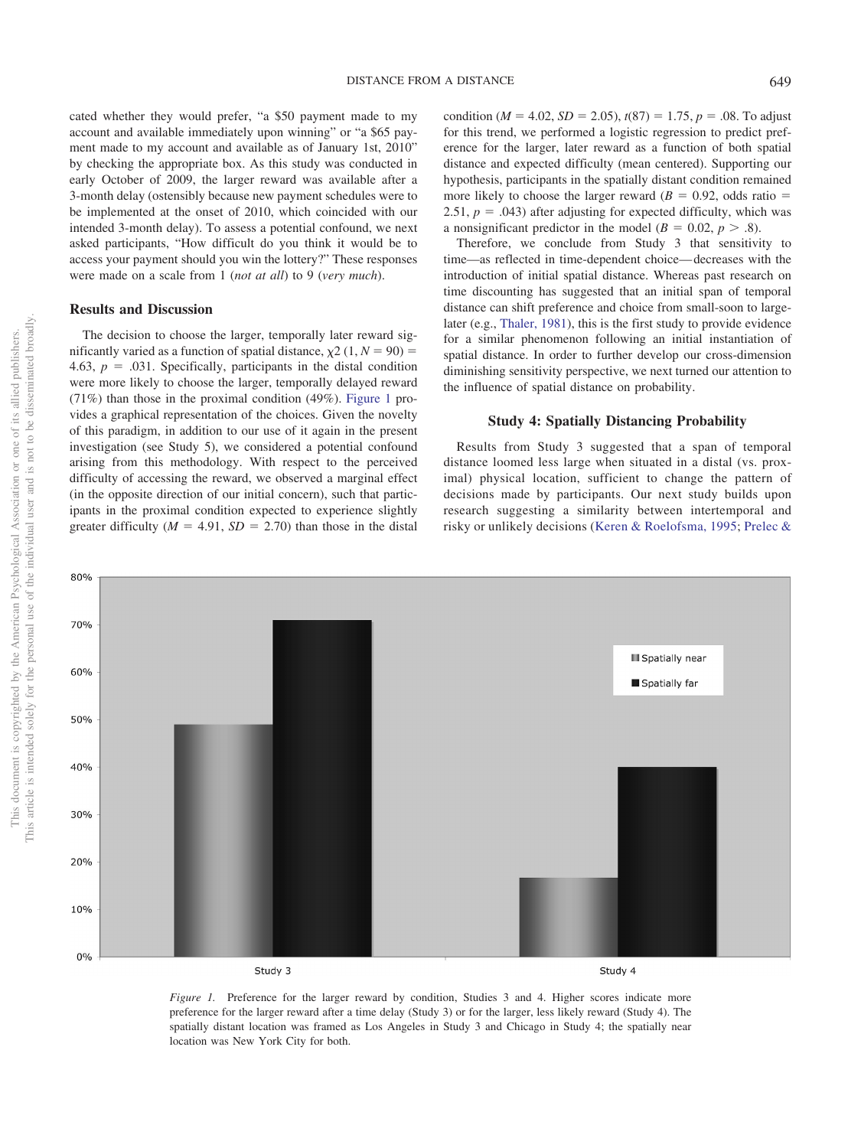cated whether they would prefer, "a \$50 payment made to my account and available immediately upon winning" or "a \$65 payment made to my account and available as of January 1st, 2010" by checking the appropriate box. As this study was conducted in early October of 2009, the larger reward was available after a 3-month delay (ostensibly because new payment schedules were to be implemented at the onset of 2010, which coincided with our intended 3-month delay). To assess a potential confound, we next asked participants, "How difficult do you think it would be to access your payment should you win the lottery?" These responses were made on a scale from 1 (*not at all*) to 9 (*very much*).

## **Results and Discussion**

The decision to choose the larger, temporally later reward significantly varied as a function of spatial distance,  $\chi^2$  (1, *N* = 90) = 4.63,  $p = .031$ . Specifically, participants in the distal condition were more likely to choose the larger, temporally delayed reward (71%) than those in the proximal condition (49%). [Figure 1](#page-5-0) provides a graphical representation of the choices. Given the novelty of this paradigm, in addition to our use of it again in the present investigation (see Study 5), we considered a potential confound arising from this methodology. With respect to the perceived difficulty of accessing the reward, we observed a marginal effect (in the opposite direction of our initial concern), such that participants in the proximal condition expected to experience slightly greater difficulty ( $M = 4.91$ ,  $SD = 2.70$ ) than those in the distal condition ( $M = 4.02$ ,  $SD = 2.05$ ),  $t(87) = 1.75$ ,  $p = .08$ . To adjust for this trend, we performed a logistic regression to predict preference for the larger, later reward as a function of both spatial distance and expected difficulty (mean centered). Supporting our hypothesis, participants in the spatially distant condition remained more likely to choose the larger reward  $(B = 0.92, \text{ odds ratio} =$ 2.51,  $p = .043$ ) after adjusting for expected difficulty, which was a nonsignificant predictor in the model ( $B = 0.02$ ,  $p > .8$ ).

Therefore, we conclude from Study 3 that sensitivity to time—as reflected in time-dependent choice— decreases with the introduction of initial spatial distance. Whereas past research on time discounting has suggested that an initial span of temporal distance can shift preference and choice from small-soon to largelater (e.g., [Thaler, 1981\)](#page-13-1), this is the first study to provide evidence for a similar phenomenon following an initial instantiation of spatial distance. In order to further develop our cross-dimension diminishing sensitivity perspective, we next turned our attention to the influence of spatial distance on probability.

## **Study 4: Spatially Distancing Probability**

Results from Study 3 suggested that a span of temporal distance loomed less large when situated in a distal (vs. proximal) physical location, sufficient to change the pattern of decisions made by participants. Our next study builds upon research suggesting a similarity between intertemporal and risky or unlikely decisions [\(Keren & Roelofsma, 1995;](#page-12-18) [Prelec &](#page-13-21)



<span id="page-5-0"></span>*Figure 1.* Preference for the larger reward by condition, Studies 3 and 4. Higher scores indicate more preference for the larger reward after a time delay (Study 3) or for the larger, less likely reward (Study 4). The spatially distant location was framed as Los Angeles in Study 3 and Chicago in Study 4; the spatially near location was New York City for both.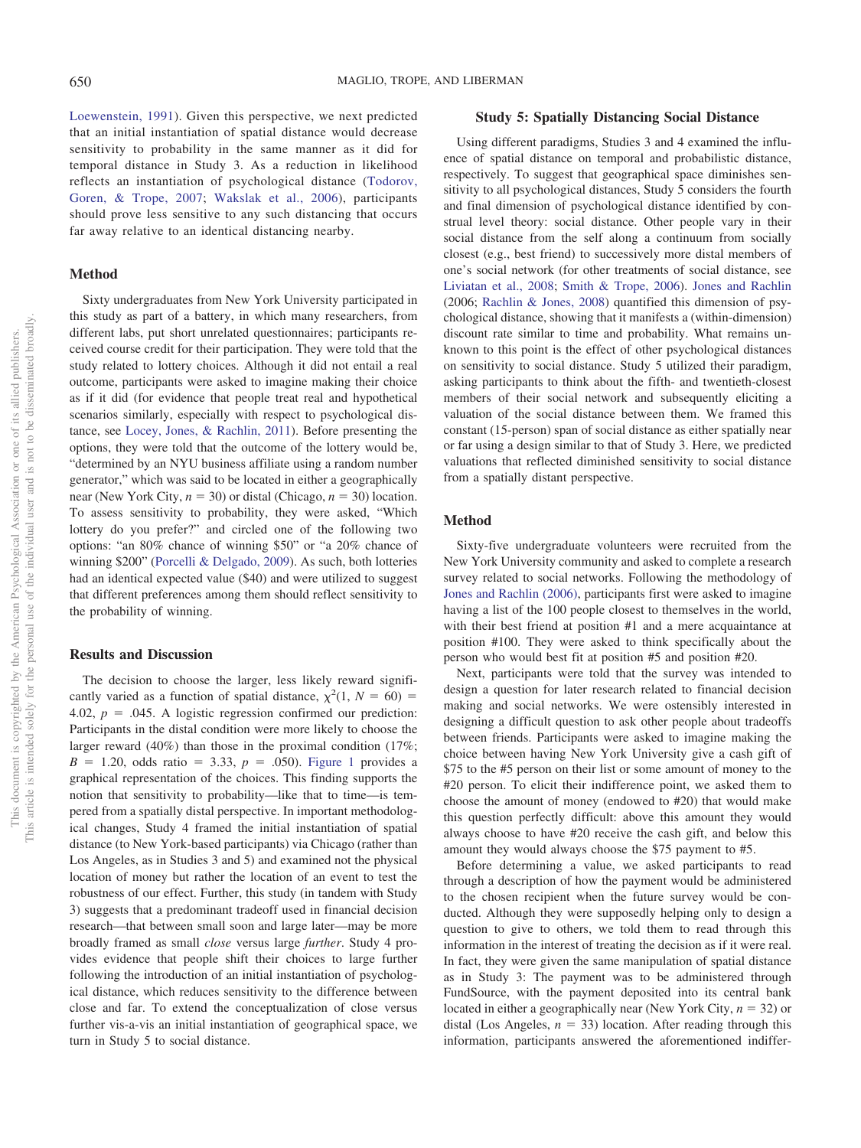[Loewenstein, 1991\)](#page-13-21). Given this perspective, we next predicted that an initial instantiation of spatial distance would decrease sensitivity to probability in the same manner as it did for temporal distance in Study 3. As a reduction in likelihood reflects an instantiation of psychological distance [\(Todorov,](#page-13-22) [Goren, & Trope, 2007;](#page-13-22) [Wakslak et al., 2006\)](#page-13-12), participants should prove less sensitive to any such distancing that occurs far away relative to an identical distancing nearby.

#### **Method**

Sixty undergraduates from New York University participated in this study as part of a battery, in which many researchers, from different labs, put short unrelated questionnaires; participants received course credit for their participation. They were told that the study related to lottery choices. Although it did not entail a real outcome, participants were asked to imagine making their choice as if it did (for evidence that people treat real and hypothetical scenarios similarly, especially with respect to psychological distance, see [Locey, Jones, & Rachlin, 2011\)](#page-13-23). Before presenting the options, they were told that the outcome of the lottery would be, "determined by an NYU business affiliate using a random number generator," which was said to be located in either a geographically near (New York City,  $n = 30$ ) or distal (Chicago,  $n = 30$ ) location. To assess sensitivity to probability, they were asked, "Which lottery do you prefer?" and circled one of the following two options: "an 80% chance of winning \$50" or "a 20% chance of winning \$200" [\(Porcelli & Delgado, 2009\)](#page-13-24). As such, both lotteries had an identical expected value (\$40) and were utilized to suggest that different preferences among them should reflect sensitivity to the probability of winning.

# **Results and Discussion**

The decision to choose the larger, less likely reward significantly varied as a function of spatial distance,  $\chi^2(1, N = 60)$  = 4.02,  $p = .045$ . A logistic regression confirmed our prediction: Participants in the distal condition were more likely to choose the larger reward (40%) than those in the proximal condition (17%;  $B = 1.20$ , odds ratio = 3.33,  $p = .050$ ). [Figure 1](#page-5-0) provides a graphical representation of the choices. This finding supports the notion that sensitivity to probability—like that to time—is tempered from a spatially distal perspective. In important methodological changes, Study 4 framed the initial instantiation of spatial distance (to New York-based participants) via Chicago (rather than Los Angeles, as in Studies 3 and 5) and examined not the physical location of money but rather the location of an event to test the robustness of our effect. Further, this study (in tandem with Study 3) suggests that a predominant tradeoff used in financial decision research—that between small soon and large later—may be more broadly framed as small *close* versus large *further*. Study 4 provides evidence that people shift their choices to large further following the introduction of an initial instantiation of psychological distance, which reduces sensitivity to the difference between close and far. To extend the conceptualization of close versus further vis-a-vis an initial instantiation of geographical space, we turn in Study 5 to social distance.

## **Study 5: Spatially Distancing Social Distance**

Using different paradigms, Studies 3 and 4 examined the influence of spatial distance on temporal and probabilistic distance, respectively. To suggest that geographical space diminishes sensitivity to all psychological distances, Study 5 considers the fourth and final dimension of psychological distance identified by construal level theory: social distance. Other people vary in their social distance from the self along a continuum from socially closest (e.g., best friend) to successively more distal members of one's social network (for other treatments of social distance, see [Liviatan et al., 2008;](#page-13-13) [Smith & Trope, 2006\)](#page-13-25). [Jones and Rachlin](#page-12-3) (2006; [Rachlin & Jones, 2008\)](#page-13-2) quantified this dimension of psychological distance, showing that it manifests a (within-dimension) discount rate similar to time and probability. What remains unknown to this point is the effect of other psychological distances on sensitivity to social distance. Study 5 utilized their paradigm, asking participants to think about the fifth- and twentieth-closest members of their social network and subsequently eliciting a valuation of the social distance between them. We framed this constant (15-person) span of social distance as either spatially near or far using a design similar to that of Study 3. Here, we predicted valuations that reflected diminished sensitivity to social distance from a spatially distant perspective.

## **Method**

Sixty-five undergraduate volunteers were recruited from the New York University community and asked to complete a research survey related to social networks. Following the methodology of [Jones and Rachlin \(2006\),](#page-12-3) participants first were asked to imagine having a list of the 100 people closest to themselves in the world, with their best friend at position #1 and a mere acquaintance at position #100. They were asked to think specifically about the person who would best fit at position #5 and position #20.

Next, participants were told that the survey was intended to design a question for later research related to financial decision making and social networks. We were ostensibly interested in designing a difficult question to ask other people about tradeoffs between friends. Participants were asked to imagine making the choice between having New York University give a cash gift of \$75 to the #5 person on their list or some amount of money to the #20 person. To elicit their indifference point, we asked them to choose the amount of money (endowed to #20) that would make this question perfectly difficult: above this amount they would always choose to have #20 receive the cash gift, and below this amount they would always choose the \$75 payment to #5.

Before determining a value, we asked participants to read through a description of how the payment would be administered to the chosen recipient when the future survey would be conducted. Although they were supposedly helping only to design a question to give to others, we told them to read through this information in the interest of treating the decision as if it were real. In fact, they were given the same manipulation of spatial distance as in Study 3: The payment was to be administered through FundSource, with the payment deposited into its central bank located in either a geographically near (New York City,  $n = 32$ ) or distal (Los Angeles,  $n = 33$ ) location. After reading through this information, participants answered the aforementioned indiffer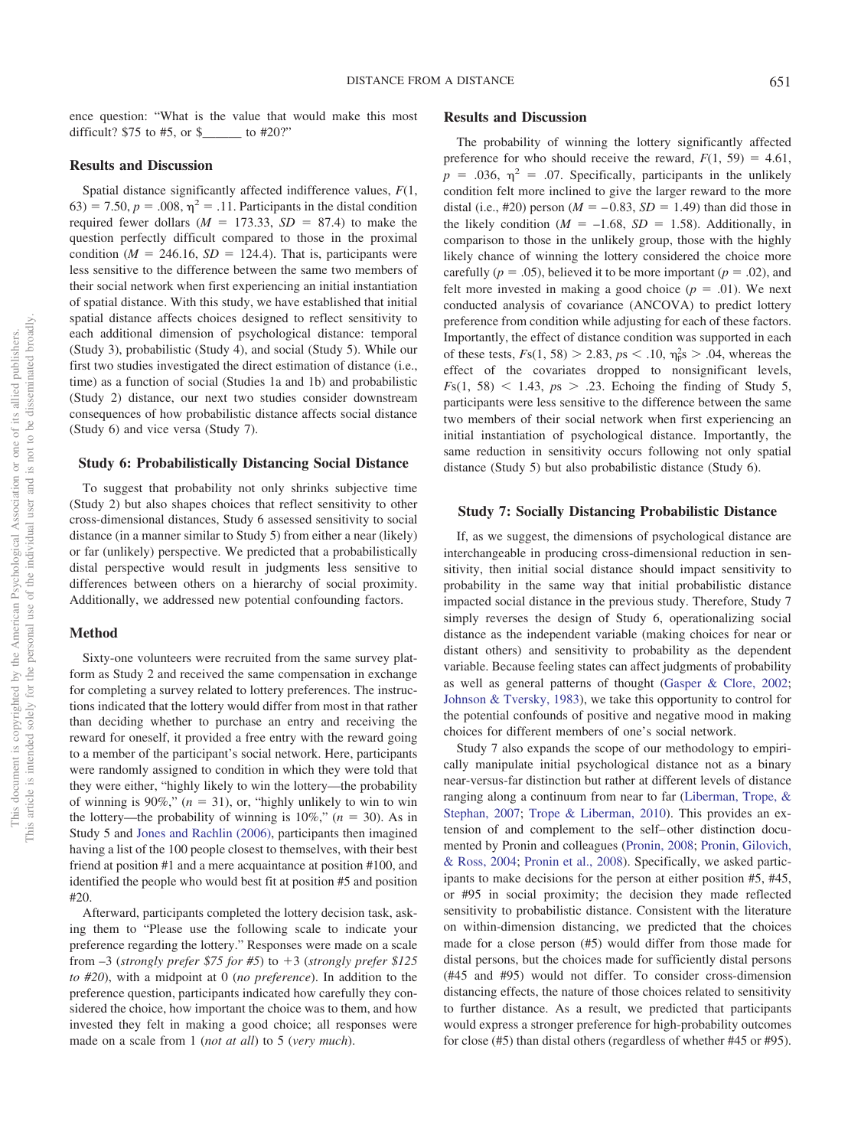ence question: "What is the value that would make this most difficult? \$75 to #5, or \$\_\_\_\_\_\_ to #20?"

#### **Results and Discussion**

Spatial distance significantly affected indifference values, *F*(1,  $(63) = 7.50, p = .008, \eta^2 = .11$ . Participants in the distal condition required fewer dollars  $(M = 173.33, SD = 87.4)$  to make the question perfectly difficult compared to those in the proximal condition ( $M = 246.16$ ,  $SD = 124.4$ ). That is, participants were less sensitive to the difference between the same two members of their social network when first experiencing an initial instantiation of spatial distance. With this study, we have established that initial spatial distance affects choices designed to reflect sensitivity to each additional dimension of psychological distance: temporal (Study 3), probabilistic (Study 4), and social (Study 5). While our first two studies investigated the direct estimation of distance (i.e., time) as a function of social (Studies 1a and 1b) and probabilistic (Study 2) distance, our next two studies consider downstream consequences of how probabilistic distance affects social distance (Study 6) and vice versa (Study 7).

### **Study 6: Probabilistically Distancing Social Distance**

To suggest that probability not only shrinks subjective time (Study 2) but also shapes choices that reflect sensitivity to other cross-dimensional distances, Study 6 assessed sensitivity to social distance (in a manner similar to Study 5) from either a near (likely) or far (unlikely) perspective. We predicted that a probabilistically distal perspective would result in judgments less sensitive to differences between others on a hierarchy of social proximity. Additionally, we addressed new potential confounding factors.

#### **Method**

Sixty-one volunteers were recruited from the same survey platform as Study 2 and received the same compensation in exchange for completing a survey related to lottery preferences. The instructions indicated that the lottery would differ from most in that rather than deciding whether to purchase an entry and receiving the reward for oneself, it provided a free entry with the reward going to a member of the participant's social network. Here, participants were randomly assigned to condition in which they were told that they were either, "highly likely to win the lottery—the probability of winning is 90%,"  $(n = 31)$ , or, "highly unlikely to win to win the lottery—the probability of winning is  $10\%$ ," ( $n = 30$ ). As in Study 5 and [Jones and Rachlin \(2006\),](#page-12-3) participants then imagined having a list of the 100 people closest to themselves, with their best friend at position #1 and a mere acquaintance at position #100, and identified the people who would best fit at position #5 and position #20.

Afterward, participants completed the lottery decision task, asking them to "Please use the following scale to indicate your preference regarding the lottery." Responses were made on a scale from  $-3$  (*strongly prefer \$75 for #5*) to  $+3$  (*strongly prefer \$125 to #20*), with a midpoint at 0 (*no preference*). In addition to the preference question, participants indicated how carefully they considered the choice, how important the choice was to them, and how invested they felt in making a good choice; all responses were made on a scale from 1 (*not at all*) to 5 (*very much*).

## **Results and Discussion**

The probability of winning the lottery significantly affected preference for who should receive the reward,  $F(1, 59) = 4.61$ ,  $p = .036$ ,  $\eta^2 = .07$ . Specifically, participants in the unlikely condition felt more inclined to give the larger reward to the more distal (i.e., #20) person ( $M = -0.83$ ,  $SD = 1.49$ ) than did those in the likely condition ( $M = -1.68$ ,  $SD = 1.58$ ). Additionally, in comparison to those in the unlikely group, those with the highly likely chance of winning the lottery considered the choice more carefully ( $p = .05$ ), believed it to be more important ( $p = .02$ ), and felt more invested in making a good choice  $(p = .01)$ . We next conducted analysis of covariance (ANCOVA) to predict lottery preference from condition while adjusting for each of these factors. Importantly, the effect of distance condition was supported in each of these tests,  $Fs(1, 58) > 2.83$ ,  $ps < .10$ ,  $\eta_{p}^2s > .04$ , whereas the effect of the covariates dropped to nonsignificant levels,  $Fs(1, 58)$  < 1.43,  $ps$  > .23. Echoing the finding of Study 5, participants were less sensitive to the difference between the same two members of their social network when first experiencing an initial instantiation of psychological distance. Importantly, the same reduction in sensitivity occurs following not only spatial distance (Study 5) but also probabilistic distance (Study 6).

#### **Study 7: Socially Distancing Probabilistic Distance**

If, as we suggest, the dimensions of psychological distance are interchangeable in producing cross-dimensional reduction in sensitivity, then initial social distance should impact sensitivity to probability in the same way that initial probabilistic distance impacted social distance in the previous study. Therefore, Study 7 simply reverses the design of Study 6, operationalizing social distance as the independent variable (making choices for near or distant others) and sensitivity to probability as the dependent variable. Because feeling states can affect judgments of probability as well as general patterns of thought [\(Gasper & Clore, 2002;](#page-12-21) [Johnson & Tversky, 1983\)](#page-12-22), we take this opportunity to control for the potential confounds of positive and negative mood in making choices for different members of one's social network.

Study 7 also expands the scope of our methodology to empirically manipulate initial psychological distance not as a binary near-versus-far distinction but rather at different levels of distance ranging along a continuum from near to far [\(Liberman, Trope, &](#page-12-0) [Stephan, 2007;](#page-12-0) [Trope & Liberman, 2010\)](#page-13-0). This provides an extension of and complement to the self– other distinction documented by Pronin and colleagues [\(Pronin, 2008;](#page-13-26) [Pronin, Gilovich,](#page-13-27) [& Ross, 2004;](#page-13-27) [Pronin et al., 2008\)](#page-13-18). Specifically, we asked participants to make decisions for the person at either position #5, #45, or #95 in social proximity; the decision they made reflected sensitivity to probabilistic distance. Consistent with the literature on within-dimension distancing, we predicted that the choices made for a close person (#5) would differ from those made for distal persons, but the choices made for sufficiently distal persons (#45 and #95) would not differ. To consider cross-dimension distancing effects, the nature of those choices related to sensitivity to further distance. As a result, we predicted that participants would express a stronger preference for high-probability outcomes for close (#5) than distal others (regardless of whether #45 or #95).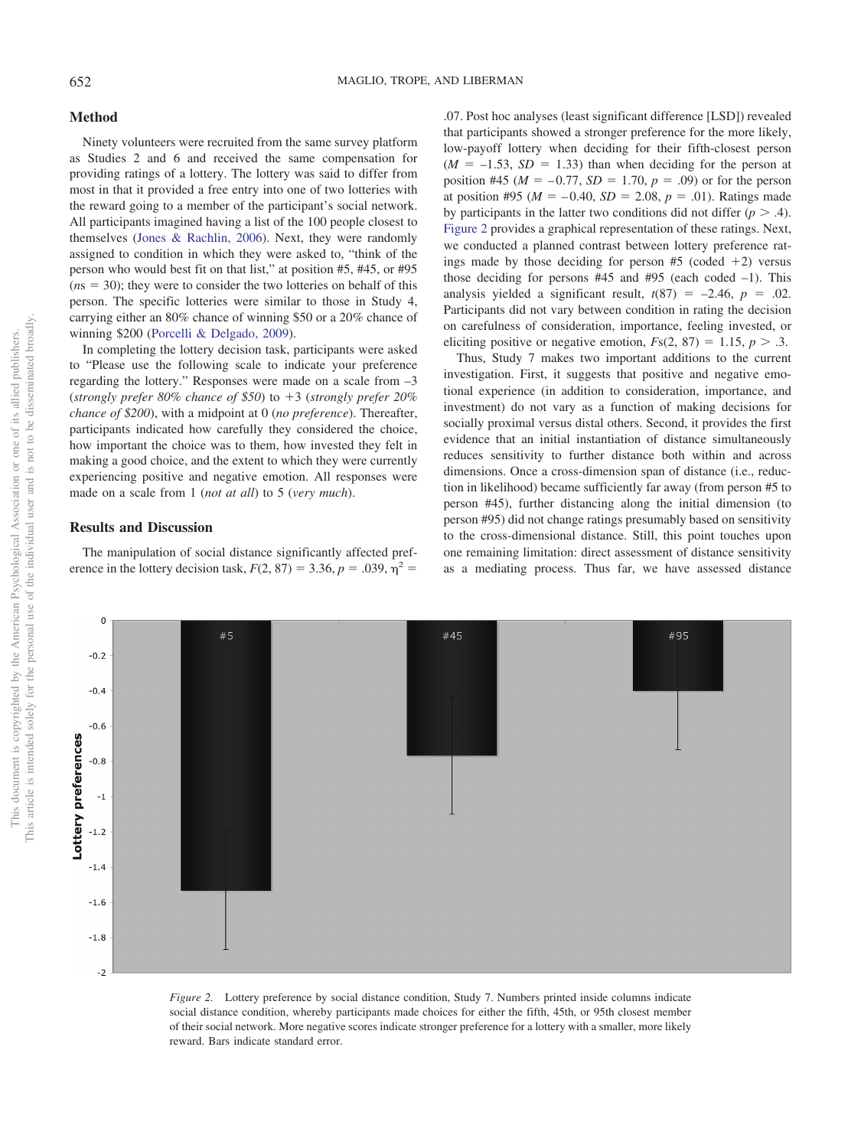#### **Method**

Ninety volunteers were recruited from the same survey platform as Studies 2 and 6 and received the same compensation for providing ratings of a lottery. The lottery was said to differ from most in that it provided a free entry into one of two lotteries with the reward going to a member of the participant's social network. All participants imagined having a list of the 100 people closest to themselves [\(Jones & Rachlin, 2006\)](#page-12-3). Next, they were randomly assigned to condition in which they were asked to, "think of the person who would best fit on that list," at position #5, #45, or #95  $(n<sub>s</sub> = 30)$ ; they were to consider the two lotteries on behalf of this person. The specific lotteries were similar to those in Study 4, carrying either an 80% chance of winning \$50 or a 20% chance of winning \$200 [\(Porcelli & Delgado, 2009\)](#page-13-24).

In completing the lottery decision task, participants were asked to "Please use the following scale to indicate your preference regarding the lottery." Responses were made on a scale from –3 (*strongly prefer 80% chance of \$50*) to  $+3$  (*strongly prefer 20% chance of \$200*), with a midpoint at 0 (*no preference*). Thereafter, participants indicated how carefully they considered the choice, how important the choice was to them, how invested they felt in making a good choice, and the extent to which they were currently experiencing positive and negative emotion. All responses were made on a scale from 1 (*not at all*) to 5 (*very much*).

#### **Results and Discussion**

The manipulation of social distance significantly affected preference in the lottery decision task,  $F(2, 87) = 3.36, p = .039, \eta^2 =$ 

.07. Post hoc analyses (least significant difference [LSD]) revealed that participants showed a stronger preference for the more likely, low-payoff lottery when deciding for their fifth-closest person  $(M = -1.53, SD = 1.33)$  than when deciding for the person at position #45 ( $M = -0.77$ ,  $SD = 1.70$ ,  $p = .09$ ) or for the person at position #95 ( $M = -0.40$ ,  $SD = 2.08$ ,  $p = .01$ ). Ratings made by participants in the latter two conditions did not differ  $(p > .4)$ . [Figure 2](#page-8-0) provides a graphical representation of these ratings. Next, we conducted a planned contrast between lottery preference ratings made by those deciding for person  $#5$  (coded  $+2$ ) versus those deciding for persons  $#45$  and  $#95$  (each coded  $-1$ ). This analysis yielded a significant result,  $t(87) = -2.46$ ,  $p = .02$ . Participants did not vary between condition in rating the decision on carefulness of consideration, importance, feeling invested, or eliciting positive or negative emotion,  $Fs(2, 87) = 1.15$ ,  $p > .3$ .

Thus, Study 7 makes two important additions to the current investigation. First, it suggests that positive and negative emotional experience (in addition to consideration, importance, and investment) do not vary as a function of making decisions for socially proximal versus distal others. Second, it provides the first evidence that an initial instantiation of distance simultaneously reduces sensitivity to further distance both within and across dimensions. Once a cross-dimension span of distance (i.e., reduction in likelihood) became sufficiently far away (from person #5 to person #45), further distancing along the initial dimension (to person #95) did not change ratings presumably based on sensitivity to the cross-dimensional distance. Still, this point touches upon one remaining limitation: direct assessment of distance sensitivity as a mediating process. Thus far, we have assessed distance



<span id="page-8-0"></span>*Figure 2.* Lottery preference by social distance condition, Study 7. Numbers printed inside columns indicate social distance condition, whereby participants made choices for either the fifth, 45th, or 95th closest member of their social network. More negative scores indicate stronger preference for a lottery with a smaller, more likely reward. Bars indicate standard error.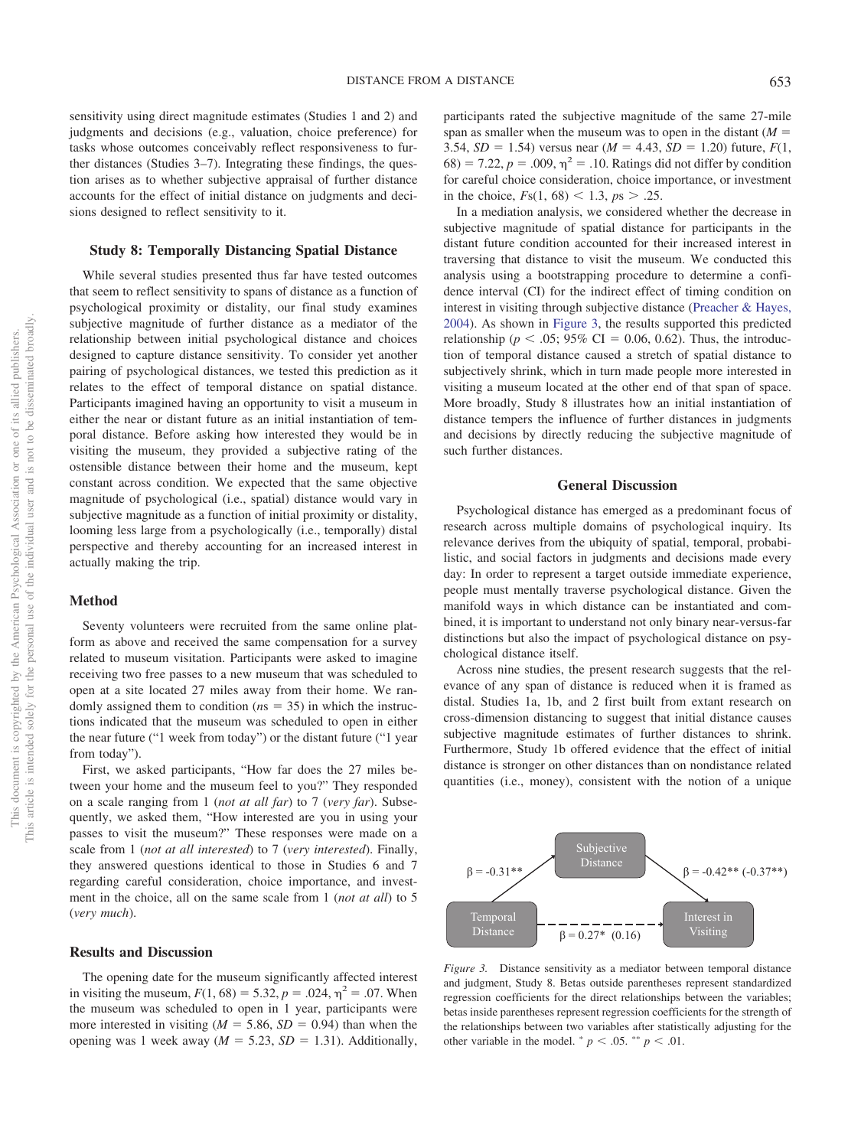sensitivity using direct magnitude estimates (Studies 1 and 2) and judgments and decisions (e.g., valuation, choice preference) for tasks whose outcomes conceivably reflect responsiveness to further distances (Studies 3–7). Integrating these findings, the question arises as to whether subjective appraisal of further distance accounts for the effect of initial distance on judgments and decisions designed to reflect sensitivity to it.

#### **Study 8: Temporally Distancing Spatial Distance**

While several studies presented thus far have tested outcomes that seem to reflect sensitivity to spans of distance as a function of psychological proximity or distality, our final study examines subjective magnitude of further distance as a mediator of the relationship between initial psychological distance and choices designed to capture distance sensitivity. To consider yet another pairing of psychological distances, we tested this prediction as it relates to the effect of temporal distance on spatial distance. Participants imagined having an opportunity to visit a museum in either the near or distant future as an initial instantiation of temporal distance. Before asking how interested they would be in visiting the museum, they provided a subjective rating of the ostensible distance between their home and the museum, kept constant across condition. We expected that the same objective magnitude of psychological (i.e., spatial) distance would vary in subjective magnitude as a function of initial proximity or distality, looming less large from a psychologically (i.e., temporally) distal perspective and thereby accounting for an increased interest in actually making the trip.

#### **Method**

Seventy volunteers were recruited from the same online platform as above and received the same compensation for a survey related to museum visitation. Participants were asked to imagine receiving two free passes to a new museum that was scheduled to open at a site located 27 miles away from their home. We randomly assigned them to condition ( $ns = 35$ ) in which the instructions indicated that the museum was scheduled to open in either the near future ("1 week from today") or the distant future ("1 year from today").

First, we asked participants, "How far does the 27 miles between your home and the museum feel to you?" They responded on a scale ranging from 1 (*not at all far*) to 7 (*very far*). Subsequently, we asked them, "How interested are you in using your passes to visit the museum?" These responses were made on a scale from 1 (*not at all interested*) to 7 (*very interested*). Finally, they answered questions identical to those in Studies 6 and 7 regarding careful consideration, choice importance, and investment in the choice, all on the same scale from 1 (*not at all*) to 5 (*very much*).

#### **Results and Discussion**

The opening date for the museum significantly affected interest in visiting the museum,  $F(1, 68) = 5.32, p = .024, \eta^2 = .07$ . When the museum was scheduled to open in 1 year, participants were more interested in visiting  $(M = 5.86, SD = 0.94)$  than when the opening was 1 week away ( $M = 5.23$ ,  $SD = 1.31$ ). Additionally,

participants rated the subjective magnitude of the same 27-mile span as smaller when the museum was to open in the distant  $(M =$ 3.54,  $SD = 1.54$ ) versus near ( $M = 4.43$ ,  $SD = 1.20$ ) future,  $F(1, 1)$  $(68) = 7.22, p = .009, \eta^2 = .10$ . Ratings did not differ by condition for careful choice consideration, choice importance, or investment in the choice,  $Fs(1, 68) < 1.3$ ,  $p_s > .25$ .

In a mediation analysis, we considered whether the decrease in subjective magnitude of spatial distance for participants in the distant future condition accounted for their increased interest in traversing that distance to visit the museum. We conducted this analysis using a bootstrapping procedure to determine a confidence interval (CI) for the indirect effect of timing condition on interest in visiting through subjective distance [\(Preacher & Hayes,](#page-13-28) [2004\)](#page-13-28). As shown in [Figure 3,](#page-9-0) the results supported this predicted relationship ( $p < .05$ ; 95% CI = 0.06, 0.62). Thus, the introduction of temporal distance caused a stretch of spatial distance to subjectively shrink, which in turn made people more interested in visiting a museum located at the other end of that span of space. More broadly, Study 8 illustrates how an initial instantiation of distance tempers the influence of further distances in judgments and decisions by directly reducing the subjective magnitude of such further distances.

## **General Discussion**

Psychological distance has emerged as a predominant focus of research across multiple domains of psychological inquiry. Its relevance derives from the ubiquity of spatial, temporal, probabilistic, and social factors in judgments and decisions made every day: In order to represent a target outside immediate experience, people must mentally traverse psychological distance. Given the manifold ways in which distance can be instantiated and combined, it is important to understand not only binary near-versus-far distinctions but also the impact of psychological distance on psychological distance itself.

Across nine studies, the present research suggests that the relevance of any span of distance is reduced when it is framed as distal. Studies 1a, 1b, and 2 first built from extant research on cross-dimension distancing to suggest that initial distance causes subjective magnitude estimates of further distances to shrink. Furthermore, Study 1b offered evidence that the effect of initial distance is stronger on other distances than on nondistance related quantities (i.e., money), consistent with the notion of a unique



<span id="page-9-0"></span>*Figure 3.* Distance sensitivity as a mediator between temporal distance and judgment, Study 8. Betas outside parentheses represent standardized regression coefficients for the direct relationships between the variables; betas inside parentheses represent regression coefficients for the strength of the relationships between two variables after statistically adjusting for the other variable in the model.  $p < .05$ .  $p < .01$ .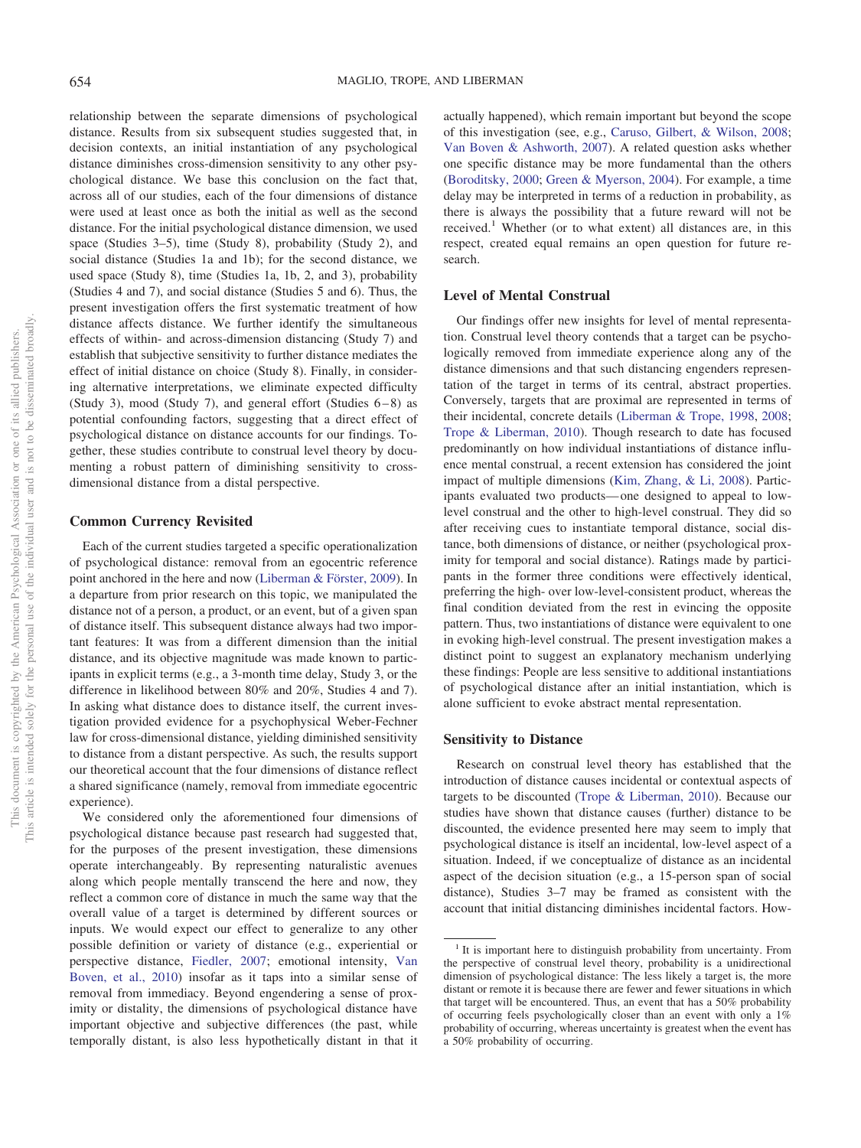relationship between the separate dimensions of psychological distance. Results from six subsequent studies suggested that, in decision contexts, an initial instantiation of any psychological distance diminishes cross-dimension sensitivity to any other psychological distance. We base this conclusion on the fact that, across all of our studies, each of the four dimensions of distance were used at least once as both the initial as well as the second distance. For the initial psychological distance dimension, we used space (Studies 3–5), time (Study 8), probability (Study 2), and social distance (Studies 1a and 1b); for the second distance, we used space (Study 8), time (Studies 1a, 1b, 2, and 3), probability (Studies 4 and 7), and social distance (Studies 5 and 6). Thus, the present investigation offers the first systematic treatment of how distance affects distance. We further identify the simultaneous effects of within- and across-dimension distancing (Study 7) and establish that subjective sensitivity to further distance mediates the effect of initial distance on choice (Study 8). Finally, in considering alternative interpretations, we eliminate expected difficulty (Study 3), mood (Study 7), and general effort (Studies  $6-8$ ) as potential confounding factors, suggesting that a direct effect of psychological distance on distance accounts for our findings. Together, these studies contribute to construal level theory by documenting a robust pattern of diminishing sensitivity to crossdimensional distance from a distal perspective.

#### **Common Currency Revisited**

Each of the current studies targeted a specific operationalization of psychological distance: removal from an egocentric reference point anchored in the here and now [\(Liberman & Förster, 2009\)](#page-12-10). In a departure from prior research on this topic, we manipulated the distance not of a person, a product, or an event, but of a given span of distance itself. This subsequent distance always had two important features: It was from a different dimension than the initial distance, and its objective magnitude was made known to participants in explicit terms (e.g., a 3-month time delay, Study 3, or the difference in likelihood between 80% and 20%, Studies 4 and 7). In asking what distance does to distance itself, the current investigation provided evidence for a psychophysical Weber-Fechner law for cross-dimensional distance, yielding diminished sensitivity to distance from a distant perspective. As such, the results support our theoretical account that the four dimensions of distance reflect a shared significance (namely, removal from immediate egocentric experience).

We considered only the aforementioned four dimensions of psychological distance because past research had suggested that, for the purposes of the present investigation, these dimensions operate interchangeably. By representing naturalistic avenues along which people mentally transcend the here and now, they reflect a common core of distance in much the same way that the overall value of a target is determined by different sources or inputs. We would expect our effect to generalize to any other possible definition or variety of distance (e.g., experiential or perspective distance, [Fiedler, 2007;](#page-12-23) emotional intensity, [Van](#page-13-16) [Boven, et al., 2010\)](#page-13-16) insofar as it taps into a similar sense of removal from immediacy. Beyond engendering a sense of proximity or distality, the dimensions of psychological distance have important objective and subjective differences (the past, while temporally distant, is also less hypothetically distant in that it actually happened), which remain important but beyond the scope of this investigation (see, e.g., [Caruso, Gilbert, & Wilson, 2008;](#page-12-24) [Van Boven & Ashworth, 2007\)](#page-13-29). A related question asks whether one specific distance may be more fundamental than the others [\(Boroditsky, 2000;](#page-12-25) [Green & Myerson, 2004\)](#page-12-1). For example, a time delay may be interpreted in terms of a reduction in probability, as there is always the possibility that a future reward will not be received.<sup>1</sup> Whether (or to what extent) all distances are, in this respect, created equal remains an open question for future research.

## **Level of Mental Construal**

Our findings offer new insights for level of mental representation. Construal level theory contends that a target can be psychologically removed from immediate experience along any of the distance dimensions and that such distancing engenders representation of the target in terms of its central, abstract properties. Conversely, targets that are proximal are represented in terms of their incidental, concrete details [\(Liberman & Trope, 1998,](#page-12-12) [2008;](#page-12-9) [Trope & Liberman, 2010\)](#page-13-0). Though research to date has focused predominantly on how individual instantiations of distance influence mental construal, a recent extension has considered the joint impact of multiple dimensions [\(Kim, Zhang, & Li, 2008\)](#page-12-26). Participants evaluated two products— one designed to appeal to lowlevel construal and the other to high-level construal. They did so after receiving cues to instantiate temporal distance, social distance, both dimensions of distance, or neither (psychological proximity for temporal and social distance). Ratings made by participants in the former three conditions were effectively identical, preferring the high- over low-level-consistent product, whereas the final condition deviated from the rest in evincing the opposite pattern. Thus, two instantiations of distance were equivalent to one in evoking high-level construal. The present investigation makes a distinct point to suggest an explanatory mechanism underlying these findings: People are less sensitive to additional instantiations of psychological distance after an initial instantiation, which is alone sufficient to evoke abstract mental representation.

#### **Sensitivity to Distance**

Research on construal level theory has established that the introduction of distance causes incidental or contextual aspects of targets to be discounted [\(Trope & Liberman, 2010\)](#page-13-0). Because our studies have shown that distance causes (further) distance to be discounted, the evidence presented here may seem to imply that psychological distance is itself an incidental, low-level aspect of a situation. Indeed, if we conceptualize of distance as an incidental aspect of the decision situation (e.g., a 15-person span of social distance), Studies 3–7 may be framed as consistent with the account that initial distancing diminishes incidental factors. How-

 $<sup>1</sup>$  It is important here to distinguish probability from uncertainty. From</sup> the perspective of construal level theory, probability is a unidirectional dimension of psychological distance: The less likely a target is, the more distant or remote it is because there are fewer and fewer situations in which that target will be encountered. Thus, an event that has a 50% probability of occurring feels psychologically closer than an event with only a 1% probability of occurring, whereas uncertainty is greatest when the event has a 50% probability of occurring.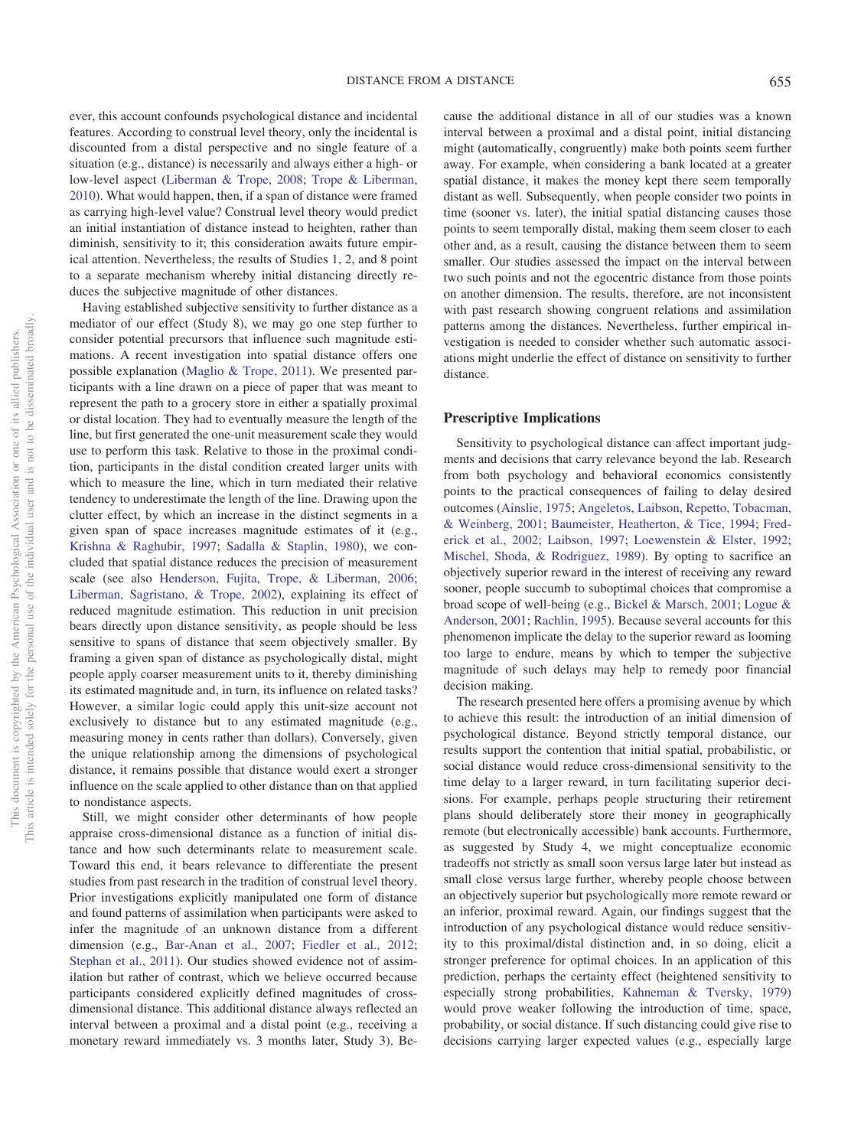ever, this account confounds psychological distance and incidental features. According to construal level theory, only the incidental is discounted from a distal perspective and no single feature of a situation (e.g., distance) is necessarily and always either a high- or low-level aspect [\(Liberman & Trope, 2008;](#page-12-9) [Trope & Liberman,](#page-13-0) [2010\)](#page-13-0). What would happen, then, if a span of distance were framed as carrying high-level value? Construal level theory would predict an initial instantiation of distance instead to heighten, rather than diminish, sensitivity to it; this consideration awaits future empirical attention. Nevertheless, the results of Studies 1, 2, and 8 point to a separate mechanism whereby initial distancing directly reduces the subjective magnitude of other distances.

Having established subjective sensitivity to further distance as a mediator of our effect (Study 8), we may go one step further to consider potential precursors that influence such magnitude estimations. A recent investigation into spatial distance offers one possible explanation [\(Maglio & Trope, 2011\)](#page-13-30). We presented participants with a line drawn on a piece of paper that was meant to represent the path to a grocery store in either a spatially proximal or distal location. They had to eventually measure the length of the line, but first generated the one-unit measurement scale they would use to perform this task. Relative to those in the proximal condition, participants in the distal condition created larger units with which to measure the line, which in turn mediated their relative tendency to underestimate the length of the line. Drawing upon the clutter effect, by which an increase in the distinct segments in a given span of space increases magnitude estimates of it (e.g., [Krishna & Raghubir, 1997;](#page-12-27) [Sadalla & Staplin, 1980\)](#page-13-31), we concluded that spatial distance reduces the precision of measurement scale (see also [Henderson, Fujita, Trope, & Liberman, 2006;](#page-12-28) [Liberman, Sagristano, & Trope, 2002\)](#page-12-29), explaining its effect of reduced magnitude estimation. This reduction in unit precision bears directly upon distance sensitivity, as people should be less sensitive to spans of distance that seem objectively smaller. By framing a given span of distance as psychologically distal, might people apply coarser measurement units to it, thereby diminishing its estimated magnitude and, in turn, its influence on related tasks? However, a similar logic could apply this unit-size account not exclusively to distance but to any estimated magnitude (e.g., measuring money in cents rather than dollars). Conversely, given the unique relationship among the dimensions of psychological distance, it remains possible that distance would exert a stronger influence on the scale applied to other distance than on that applied to nondistance aspects.

Still, we might consider other determinants of how people appraise cross-dimensional distance as a function of initial distance and how such determinants relate to measurement scale. Toward this end, it bears relevance to differentiate the present studies from past research in the tradition of construal level theory. Prior investigations explicitly manipulated one form of distance and found patterns of assimilation when participants were asked to infer the magnitude of an unknown distance from a different dimension (e.g., [Bar-Anan et al., 2007;](#page-12-13) [Fiedler et al., 2012;](#page-12-16) [Stephan et al., 2011\)](#page-13-15). Our studies showed evidence not of assimilation but rather of contrast, which we believe occurred because participants considered explicitly defined magnitudes of crossdimensional distance. This additional distance always reflected an interval between a proximal and a distal point (e.g., receiving a monetary reward immediately vs. 3 months later, Study 3). Because the additional distance in all of our studies was a known interval between a proximal and a distal point, initial distancing might (automatically, congruently) make both points seem further away. For example, when considering a bank located at a greater spatial distance, it makes the money kept there seem temporally distant as well. Subsequently, when people consider two points in time (sooner vs. later), the initial spatial distancing causes those points to seem temporally distal, making them seem closer to each other and, as a result, causing the distance between them to seem smaller. Our studies assessed the impact on the interval between two such points and not the egocentric distance from those points on another dimension. The results, therefore, are not inconsistent with past research showing congruent relations and assimilation patterns among the distances. Nevertheless, further empirical investigation is needed to consider whether such automatic associations might underlie the effect of distance on sensitivity to further distance.

## **Prescriptive Implications**

Sensitivity to psychological distance can affect important judgments and decisions that carry relevance beyond the lab. Research from both psychology and behavioral economics consistently points to the practical consequences of failing to delay desired outcomes [\(Ainslie, 1975;](#page-12-30) [Angeletos, Laibson, Repetto, Tobacman,](#page-12-31) [& Weinberg, 2001;](#page-12-31) [Baumeister, Heatherton, & Tice, 1994;](#page-12-32) [Fred](#page-12-2)[erick et al., 2002;](#page-12-2) [Laibson, 1997;](#page-12-33) [Loewenstein & Elster, 1992;](#page-13-32) [Mischel, Shoda, & Rodriguez, 1989\)](#page-13-33). By opting to sacrifice an objectively superior reward in the interest of receiving any reward sooner, people succumb to suboptimal choices that compromise a broad scope of well-being (e.g., [Bickel & Marsch, 2001;](#page-12-34) [Logue &](#page-13-34) [Anderson, 2001;](#page-13-34) [Rachlin, 1995\)](#page-13-35). Because several accounts for this phenomenon implicate the delay to the superior reward as looming too large to endure, means by which to temper the subjective magnitude of such delays may help to remedy poor financial decision making.

The research presented here offers a promising avenue by which to achieve this result: the introduction of an initial dimension of psychological distance. Beyond strictly temporal distance, our results support the contention that initial spatial, probabilistic, or social distance would reduce cross-dimensional sensitivity to the time delay to a larger reward, in turn facilitating superior decisions. For example, perhaps people structuring their retirement plans should deliberately store their money in geographically remote (but electronically accessible) bank accounts. Furthermore, as suggested by Study 4, we might conceptualize economic tradeoffs not strictly as small soon versus large later but instead as small close versus large further, whereby people choose between an objectively superior but psychologically more remote reward or an inferior, proximal reward. Again, our findings suggest that the introduction of any psychological distance would reduce sensitivity to this proximal/distal distinction and, in so doing, elicit a stronger preference for optimal choices. In an application of this prediction, perhaps the certainty effect (heightened sensitivity to especially strong probabilities, [Kahneman & Tversky, 1979\)](#page-12-35) would prove weaker following the introduction of time, space, probability, or social distance. If such distancing could give rise to decisions carrying larger expected values (e.g., especially large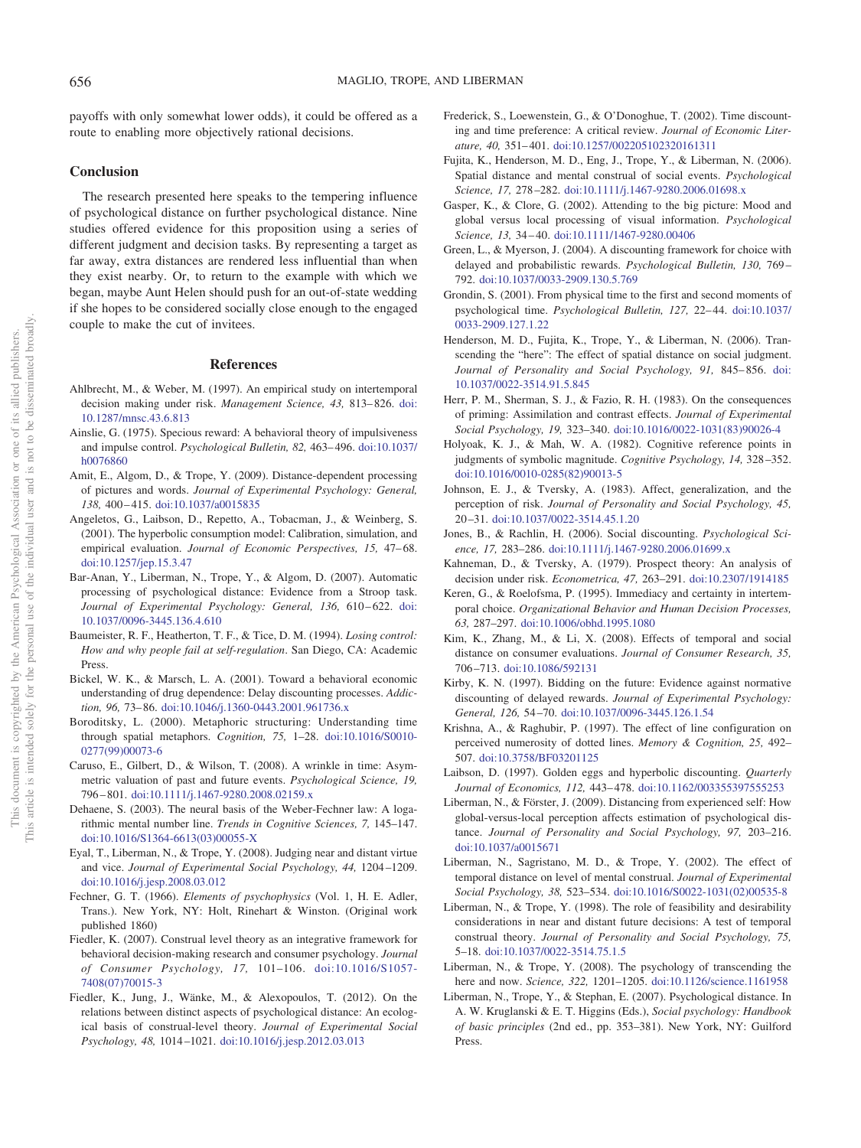<span id="page-12-20"></span>payoffs with only somewhat lower odds), it could be offered as a route to enabling more objectively rational decisions.

#### **Conclusion**

The research presented here speaks to the tempering influence of psychological distance on further psychological distance. Nine studies offered evidence for this proposition using a series of different judgment and decision tasks. By representing a target as far away, extra distances are rendered less influential than when they exist nearby. Or, to return to the example with which we began, maybe Aunt Helen should push for an out-of-state wedding if she hopes to be considered socially close enough to the engaged couple to make the cut of invitees.

#### **References**

- <span id="page-12-19"></span>Ahlbrecht, M., & Weber, M. (1997). An empirical study on intertemporal decision making under risk. *Management Science, 43,* 813– 826. [doi:](http://dx.doi.org/10.1287/mnsc.43.6.813) [10.1287/mnsc.43.6.813](http://dx.doi.org/10.1287/mnsc.43.6.813)
- <span id="page-12-30"></span>Ainslie, G. (1975). Specious reward: A behavioral theory of impulsiveness and impulse control. *Psychological Bulletin, 82,* 463– 496. [doi:10.1037/](http://dx.doi.org/10.1037/h0076860) [h0076860](http://dx.doi.org/10.1037/h0076860)
- <span id="page-12-14"></span>Amit, E., Algom, D., & Trope, Y. (2009). Distance-dependent processing of pictures and words. *Journal of Experimental Psychology: General, 138,* 400 – 415. [doi:10.1037/a0015835](http://dx.doi.org/10.1037/a0015835)
- <span id="page-12-31"></span>Angeletos, G., Laibson, D., Repetto, A., Tobacman, J., & Weinberg, S. (2001). The hyperbolic consumption model: Calibration, simulation, and empirical evaluation. *Journal of Economic Perspectives, 15, 47-68*. [doi:10.1257/jep.15.3.47](http://dx.doi.org/10.1257/jep.15.3.47)
- <span id="page-12-13"></span>Bar-Anan, Y., Liberman, N., Trope, Y., & Algom, D. (2007). Automatic processing of psychological distance: Evidence from a Stroop task. Journal of Experimental Psychology: General, 136, 610-622. [doi:](http://dx.doi.org/10.1037/0096-3445.136.4.610) [10.1037/0096-3445.136.4.610](http://dx.doi.org/10.1037/0096-3445.136.4.610)
- <span id="page-12-32"></span>Baumeister, R. F., Heatherton, T. F., & Tice, D. M. (1994). *Losing control: How and why people fail at self-regulation*. San Diego, CA: Academic Press.
- <span id="page-12-34"></span>Bickel, W. K., & Marsch, L. A. (2001). Toward a behavioral economic understanding of drug dependence: Delay discounting processes. *Addiction, 96,* 73– 86. [doi:10.1046/j.1360-0443.2001.961736.x](http://dx.doi.org/10.1046/j.1360-0443.2001.961736.x)
- <span id="page-12-25"></span>Boroditsky, L. (2000). Metaphoric structuring: Understanding time through spatial metaphors. *Cognition, 75,* 1–28. [doi:10.1016/S0010-](http://dx.doi.org/10.1016/S0010-0277%2899%2900073-6) [0277\(99\)00073-6](http://dx.doi.org/10.1016/S0010-0277%2899%2900073-6)
- <span id="page-12-24"></span>Caruso, E., Gilbert, D., & Wilson, T. (2008). A wrinkle in time: Asymmetric valuation of past and future events. *Psychological Science, 19,* 796 – 801. [doi:10.1111/j.1467-9280.2008.02159.x](http://dx.doi.org/10.1111/j.1467-9280.2008.02159.x)
- <span id="page-12-7"></span>Dehaene, S. (2003). The neural basis of the Weber-Fechner law: A logarithmic mental number line. *Trends in Cognitive Sciences, 7,* 145–147. [doi:10.1016/S1364-6613\(03\)00055-X](http://dx.doi.org/10.1016/S1364-6613%2803%2900055-X)
- <span id="page-12-15"></span>Eyal, T., Liberman, N., & Trope, Y. (2008). Judging near and distant virtue and vice. *Journal of Experimental Social Psychology, 44,* 1204 –1209. [doi:10.1016/j.jesp.2008.03.012](http://dx.doi.org/10.1016/j.jesp.2008.03.012)
- <span id="page-12-6"></span>Fechner, G. T. (1966). *Elements of psychophysics* (Vol. 1, H. E. Adler, Trans.). New York, NY: Holt, Rinehart & Winston. (Original work published 1860)
- <span id="page-12-23"></span>Fiedler, K. (2007). Construal level theory as an integrative framework for behavioral decision-making research and consumer psychology. *Journal of Consumer Psychology, 17,* 101–106. [doi:10.1016/S1057-](http://dx.doi.org/10.1016/S1057-7408%2807%2970015-3) [7408\(07\)70015-3](http://dx.doi.org/10.1016/S1057-7408%2807%2970015-3)
- <span id="page-12-16"></span>Fiedler, K., Jung, J., Wänke, M., & Alexopoulos, T. (2012). On the relations between distinct aspects of psychological distance: An ecological basis of construal-level theory. *Journal of Experimental Social Psychology, 48,* 1014 –1021. [doi:10.1016/j.jesp.2012.03.013](http://dx.doi.org/10.1016/j.jesp.2012.03.013)
- <span id="page-12-2"></span>Frederick, S., Loewenstein, G., & O'Donoghue, T. (2002). Time discounting and time preference: A critical review. *Journal of Economic Literature, 40,* 351– 401. [doi:10.1257/002205102320161311](http://dx.doi.org/10.1257/002205102320161311)
- <span id="page-12-11"></span>Fujita, K., Henderson, M. D., Eng, J., Trope, Y., & Liberman, N. (2006). Spatial distance and mental construal of social events. *Psychological Science, 17,* 278 –282. [doi:10.1111/j.1467-9280.2006.01698.x](http://dx.doi.org/10.1111/j.1467-9280.2006.01698.x)
- <span id="page-12-21"></span>Gasper, K., & Clore, G. (2002). Attending to the big picture: Mood and global versus local processing of visual information. *Psychological Science, 13,* 34 – 40. [doi:10.1111/1467-9280.00406](http://dx.doi.org/10.1111/1467-9280.00406)
- <span id="page-12-1"></span>Green, L., & Myerson, J. (2004). A discounting framework for choice with delayed and probabilistic rewards. *Psychological Bulletin, 130,* 769 – 792. [doi:10.1037/0033-2909.130.5.769](http://dx.doi.org/10.1037/0033-2909.130.5.769)
- <span id="page-12-8"></span>Grondin, S. (2001). From physical time to the first and second moments of psychological time. *Psychological Bulletin, 127,* 22– 44. [doi:10.1037/](http://dx.doi.org/10.1037/0033-2909.127.1.22) [0033-2909.127.1.22](http://dx.doi.org/10.1037/0033-2909.127.1.22)
- <span id="page-12-28"></span>Henderson, M. D., Fujita, K., Trope, Y., & Liberman, N. (2006). Transcending the "here": The effect of spatial distance on social judgment. *Journal of Personality and Social Psychology, 91,* 845– 856. [doi:](http://dx.doi.org/10.1037/0022-3514.91.5.845) [10.1037/0022-3514.91.5.845](http://dx.doi.org/10.1037/0022-3514.91.5.845)
- <span id="page-12-17"></span>Herr, P. M., Sherman, S. J., & Fazio, R. H. (1983). On the consequences of priming: Assimilation and contrast effects. *Journal of Experimental Social Psychology, 19,* 323–340. [doi:10.1016/0022-1031\(83\)90026-4](http://dx.doi.org/10.1016/0022-1031%2883%2990026-4)
- <span id="page-12-4"></span>Holyoak, K. J., & Mah, W. A. (1982). Cognitive reference points in judgments of symbolic magnitude. *Cognitive Psychology, 14,* 328 –352. [doi:10.1016/0010-0285\(82\)90013-5](http://dx.doi.org/10.1016/0010-0285%2882%2990013-5)
- <span id="page-12-22"></span>Johnson, E. J., & Tversky, A. (1983). Affect, generalization, and the perception of risk. *Journal of Personality and Social Psychology, 45,* 20 –31. [doi:10.1037/0022-3514.45.1.20](http://dx.doi.org/10.1037/0022-3514.45.1.20)
- <span id="page-12-3"></span>Jones, B., & Rachlin, H. (2006). Social discounting. *Psychological Science, 17,* 283–286. [doi:10.1111/j.1467-9280.2006.01699.x](http://dx.doi.org/10.1111/j.1467-9280.2006.01699.x)
- <span id="page-12-35"></span>Kahneman, D., & Tversky, A. (1979). Prospect theory: An analysis of decision under risk. *Econometrica, 47,* 263–291. [doi:10.2307/1914185](http://dx.doi.org/10.2307/1914185)
- <span id="page-12-18"></span>Keren, G., & Roelofsma, P. (1995). Immediacy and certainty in intertemporal choice. *Organizational Behavior and Human Decision Processes, 63,* 287–297. [doi:10.1006/obhd.1995.1080](http://dx.doi.org/10.1006/obhd.1995.1080)
- <span id="page-12-26"></span>Kim, K., Zhang, M., & Li, X. (2008). Effects of temporal and social distance on consumer evaluations. *Journal of Consumer Research, 35,* 706 –713. [doi:10.1086/592131](http://dx.doi.org/10.1086/592131)
- <span id="page-12-5"></span>Kirby, K. N. (1997). Bidding on the future: Evidence against normative discounting of delayed rewards. *Journal of Experimental Psychology: General, 126,* 54 –70. [doi:10.1037/0096-3445.126.1.54](http://dx.doi.org/10.1037/0096-3445.126.1.54)
- <span id="page-12-27"></span>Krishna, A., & Raghubir, P. (1997). The effect of line configuration on perceived numerosity of dotted lines. *Memory & Cognition, 25,* 492– 507. [doi:10.3758/BF03201125](http://dx.doi.org/10.3758/BF03201125)
- <span id="page-12-33"></span>Laibson, D. (1997). Golden eggs and hyperbolic discounting. *Quarterly Journal of Economics, 112,* 443– 478. [doi:10.1162/003355397555253](http://dx.doi.org/10.1162/003355397555253)
- <span id="page-12-10"></span>Liberman, N., & Förster, J. (2009). Distancing from experienced self: How global-versus-local perception affects estimation of psychological distance. *Journal of Personality and Social Psychology, 97,* 203–216. [doi:10.1037/a0015671](http://dx.doi.org/10.1037/a0015671)
- <span id="page-12-29"></span>Liberman, N., Sagristano, M. D., & Trope, Y. (2002). The effect of temporal distance on level of mental construal. *Journal of Experimental Social Psychology, 38,* 523–534. [doi:10.1016/S0022-1031\(02\)00535-8](http://dx.doi.org/10.1016/S0022-1031%2802%2900535-8)
- <span id="page-12-12"></span>Liberman, N., & Trope, Y. (1998). The role of feasibility and desirability considerations in near and distant future decisions: A test of temporal construal theory. *Journal of Personality and Social Psychology, 75,* 5–18. [doi:10.1037/0022-3514.75.1.5](http://dx.doi.org/10.1037/0022-3514.75.1.5)
- <span id="page-12-9"></span>Liberman, N., & Trope, Y. (2008). The psychology of transcending the here and now. *Science, 322,* 1201–1205. [doi:10.1126/science.1161958](http://dx.doi.org/10.1126/science.1161958)
- <span id="page-12-0"></span>Liberman, N., Trope, Y., & Stephan, E. (2007). Psychological distance. In A. W. Kruglanski & E. T. Higgins (Eds.), *Social psychology: Handbook of basic principles* (2nd ed., pp. 353–381). New York, NY: Guilford Press.